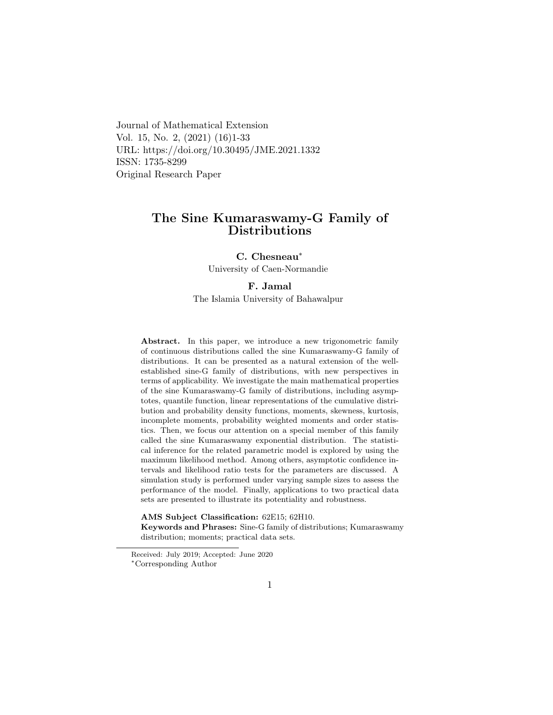Journal of Mathematical Extension Vol. 15, No. 2, (2021) (16)1-33 URL: https://doi.org/10.30495/JME.2021.1332 ISSN: 1735-8299 Original Research Paper

# The Sine Kumaraswamy-G Family of Distributions

C. Chesneau[∗](#page-0-0)

University of Caen-Normandie

#### F. Jamal

The Islamia University of Bahawalpur

Abstract. In this paper, we introduce a new trigonometric family of continuous distributions called the sine Kumaraswamy-G family of distributions. It can be presented as a natural extension of the wellestablished sine-G family of distributions, with new perspectives in terms of applicability. We investigate the main mathematical properties of the sine Kumaraswamy-G family of distributions, including asymptotes, quantile function, linear representations of the cumulative distribution and probability density functions, moments, skewness, kurtosis, incomplete moments, probability weighted moments and order statistics. Then, we focus our attention on a special member of this family called the sine Kumaraswamy exponential distribution. The statistical inference for the related parametric model is explored by using the maximum likelihood method. Among others, asymptotic confidence intervals and likelihood ratio tests for the parameters are discussed. A simulation study is performed under varying sample sizes to assess the performance of the model. Finally, applications to two practical data sets are presented to illustrate its potentiality and robustness.

AMS Subject Classification: 62E15; 62H10.

Keywords and Phrases: Sine-G family of distributions; Kumaraswamy distribution; moments; practical data sets.

Received: July 2019; Accepted: June 2020

<span id="page-0-0"></span><sup>∗</sup>Corresponding Author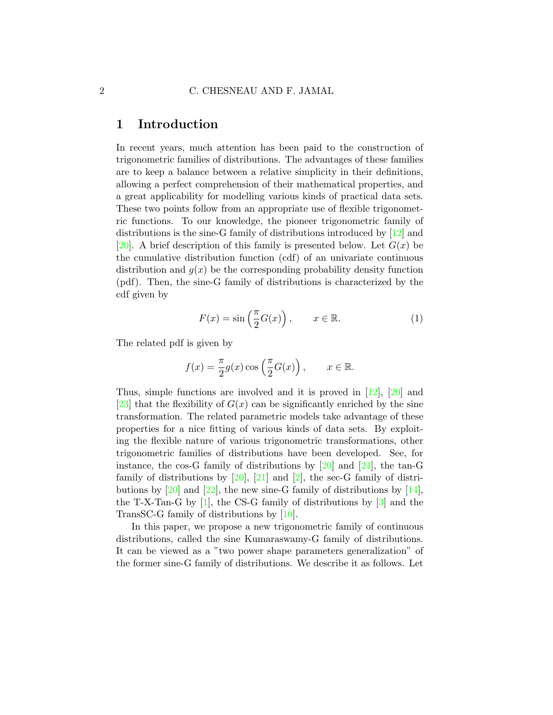## 1 Introduction

In recent years, much attention has been paid to the construction of trigonometric families of distributions. The advantages of these families are to keep a balance between a relative simplicity in their definitions, allowing a perfect comprehension of their mathematical properties, and a great applicability for modelling various kinds of practical data sets. These two points follow from an appropriate use of flexible trigonometric functions. To our knowledge, the pioneer trigonometric family of distributions is the sine-G family of distributions introduced by [\[12\]](#page-30-0) and [\[20\]](#page-31-0). A brief description of this family is presented below. Let  $G(x)$  be the cumulative distribution function (cdf) of an univariate continuous distribution and  $g(x)$  be the corresponding probability density function (pdf). Then, the sine-G family of distributions is characterized by the cdf given by

<span id="page-1-0"></span>
$$
F(x) = \sin\left(\frac{\pi}{2}G(x)\right), \qquad x \in \mathbb{R}.\tag{1}
$$

The related pdf is given by

$$
f(x) = \frac{\pi}{2}g(x)\cos\left(\frac{\pi}{2}G(x)\right), \qquad x \in \mathbb{R}.
$$

Thus, simple functions are involved and it is proved in [\[12\]](#page-30-0), [\[20\]](#page-31-0) and [\[23\]](#page-31-1) that the flexibility of  $G(x)$  can be significantly enriched by the sine transformation. The related parametric models take advantage of these properties for a nice fitting of various kinds of data sets. By exploiting the flexible nature of various trigonometric transformations, other trigonometric families of distributions have been developed. See, for instance, the cos-G family of distributions by  $[20]$  and  $[24]$ , the tan-G family of distributions by  $[20]$ ,  $[21]$  and  $[2]$ , the sec-G family of distributions by  $[20]$  and  $[22]$ , the new sine-G family of distributions by  $[14]$ , the T-X-Tan-G by [\[1\]](#page-29-1), the CS-G family of distributions by [\[3\]](#page-29-2) and the TransSC-G family of distributions by [\[10\]](#page-30-2).

In this paper, we propose a new trigonometric family of continuous distributions, called the sine Kumaraswamy-G family of distributions. It can be viewed as a "two power shape parameters generalization" of the former sine-G family of distributions. We describe it as follows. Let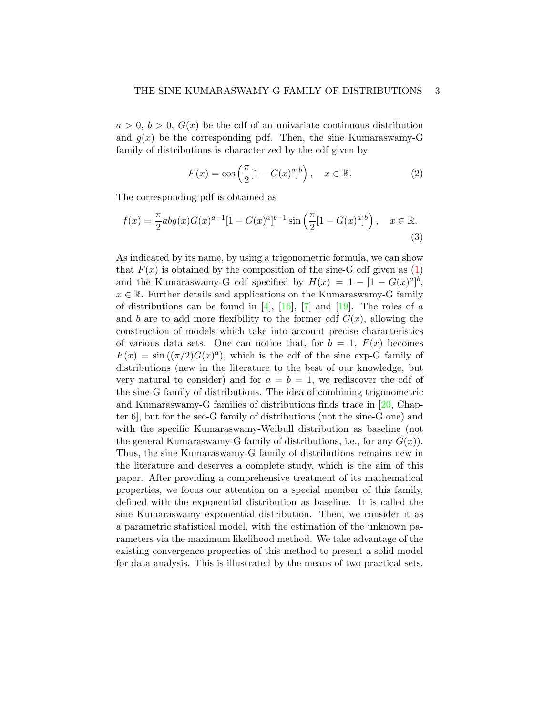$a > 0, b > 0, G(x)$  be the cdf of an univariate continuous distribution and  $g(x)$  be the corresponding pdf. Then, the sine Kumaraswamy-G family of distributions is characterized by the cdf given by

<span id="page-2-1"></span><span id="page-2-0"></span>
$$
F(x) = \cos\left(\frac{\pi}{2}[1 - G(x)^a]^b\right), \quad x \in \mathbb{R}.\tag{2}
$$

The corresponding pdf is obtained as

$$
f(x) = \frac{\pi}{2} abg(x)G(x)^{a-1} [1 - G(x)^a]^{b-1} \sin\left(\frac{\pi}{2}[1 - G(x)^a]^b\right), \quad x \in \mathbb{R}.
$$
\n(3)

As indicated by its name, by using a trigonometric formula, we can show that  $F(x)$  is obtained by the composition of the sine-G cdf given as  $(1)$ and the Kumaraswamy-G cdf specified by  $H(x) = 1 - [1 - G(x)^{a}]^{b}$ ,  $x \in \mathbb{R}$ . Further details and applications on the Kumaraswamy-G family of distributions can be found in [\[4\]](#page-30-3), [\[16\]](#page-31-5), [\[7\]](#page-30-4) and [\[19\]](#page-31-6). The roles of a and b are to add more flexibility to the former cdf  $G(x)$ , allowing the construction of models which take into account precise characteristics of various data sets. One can notice that, for  $b = 1$ ,  $F(x)$  becomes  $F(x) = \sin((\pi/2)G(x)^a)$ , which is the cdf of the sine exp-G family of distributions (new in the literature to the best of our knowledge, but very natural to consider) and for  $a = b = 1$ , we rediscover the cdf of the sine-G family of distributions. The idea of combining trigonometric and Kumaraswamy-G families of distributions finds trace in [\[20,](#page-31-0) Chapter 6], but for the sec-G family of distributions (not the sine-G one) and with the specific Kumaraswamy-Weibull distribution as baseline (not the general Kumaraswamy-G family of distributions, i.e., for any  $G(x)$ ). Thus, the sine Kumaraswamy-G family of distributions remains new in the literature and deserves a complete study, which is the aim of this paper. After providing a comprehensive treatment of its mathematical properties, we focus our attention on a special member of this family, defined with the exponential distribution as baseline. It is called the sine Kumaraswamy exponential distribution. Then, we consider it as a parametric statistical model, with the estimation of the unknown parameters via the maximum likelihood method. We take advantage of the existing convergence properties of this method to present a solid model for data analysis. This is illustrated by the means of two practical sets.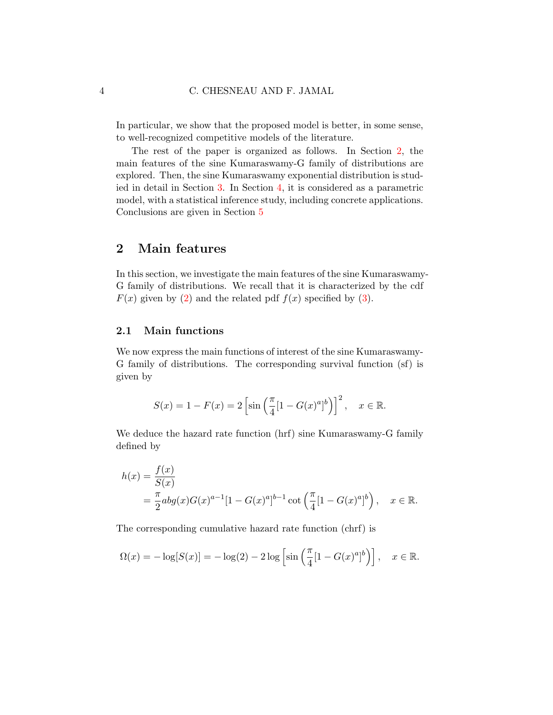In particular, we show that the proposed model is better, in some sense, to well-recognized competitive models of the literature.

The rest of the paper is organized as follows. In Section [2,](#page-3-0) the main features of the sine Kumaraswamy-G family of distributions are explored. Then, the sine Kumaraswamy exponential distribution is studied in detail in Section [3.](#page-13-0) In Section [4,](#page-18-0) it is considered as a parametric model, with a statistical inference study, including concrete applications. Conclusions are given in Section [5](#page-28-0)

# <span id="page-3-0"></span>2 Main features

In this section, we investigate the main features of the sine Kumaraswamy-G family of distributions. We recall that it is characterized by the cdf  $F(x)$  given by [\(2\)](#page-2-0) and the related pdf  $f(x)$  specified by [\(3\)](#page-2-1).

#### 2.1 Main functions

We now express the main functions of interest of the sine Kumaraswamy-G family of distributions. The corresponding survival function (sf) is given by

$$
S(x) = 1 - F(x) = 2 \left[ \sin \left( \frac{\pi}{4} [1 - G(x)^a]^b \right) \right]^2, \quad x \in \mathbb{R}.
$$

We deduce the hazard rate function (hrf) sine Kumaraswamy-G family defined by

$$
h(x) = \frac{f(x)}{S(x)}
$$
  
=  $\frac{\pi}{2} abg(x)G(x)^{a-1}[1 - G(x)^{a}]^{b-1} \cot\left(\frac{\pi}{4}[1 - G(x)^{a}]^{b}\right), \quad x \in \mathbb{R}.$ 

The corresponding cumulative hazard rate function (chrf) is

$$
\Omega(x) = -\log[S(x)] = -\log(2) - 2\log\left[\sin\left(\frac{\pi}{4}[1 - G(x)^a]^b\right)\right], \quad x \in \mathbb{R}.
$$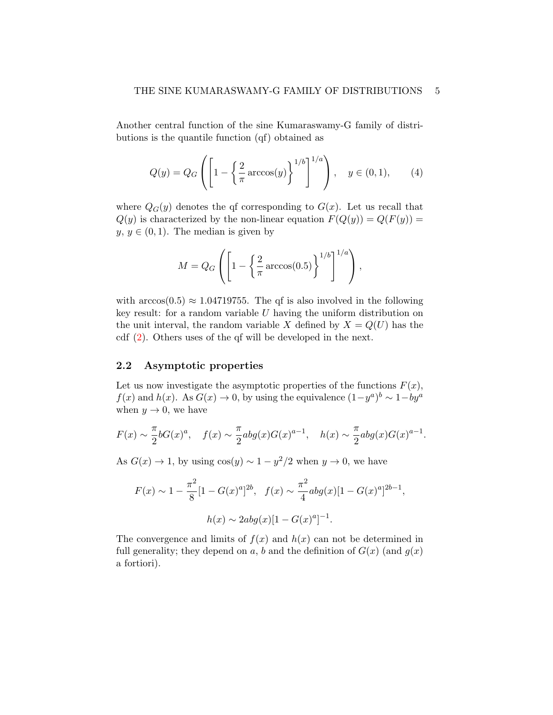Another central function of the sine Kumaraswamy-G family of distributions is the quantile function (qf) obtained as

$$
Q(y) = Q_G \left( \left[ 1 - \left\{ \frac{2}{\pi} \arccos(y) \right\}^{1/b} \right]^{1/a} \right), \quad y \in (0, 1), \tag{4}
$$

where  $Q_G(y)$  denotes the qf corresponding to  $G(x)$ . Let us recall that  $Q(y)$  is characterized by the non-linear equation  $F(Q(y)) = Q(F(y)) =$  $y, y \in (0, 1)$ . The median is given by

<span id="page-4-0"></span>
$$
M = Q_G \left( \left[ 1 - \left\{ \frac{2}{\pi} \arccos(0.5) \right\}^{1/b} \right]^{1/a} \right),\,
$$

with  $arccos(0.5) \approx 1.04719755$ . The qf is also involved in the following key result: for a random variable  $U$  having the uniform distribution on the unit interval, the random variable X defined by  $X = Q(U)$  has the cdf [\(2\)](#page-2-0). Others uses of the qf will be developed in the next.

#### 2.2 Asymptotic properties

Let us now investigate the asymptotic properties of the functions  $F(x)$ ,  $f(x)$  and  $h(x)$ . As  $G(x) \to 0$ , by using the equivalence  $(1-y^a)^b \sim 1-by^a$ when  $y \to 0$ , we have

$$
F(x) \sim \frac{\pi}{2}bG(x)^a
$$
,  $f(x) \sim \frac{\pi}{2}abg(x)G(x)^{a-1}$ ,  $h(x) \sim \frac{\pi}{2}abg(x)G(x)^{a-1}$ .

As  $G(x) \to 1$ , by using  $\cos(y) \sim 1 - y^2/2$  when  $y \to 0$ , we have

$$
F(x) \sim 1 - \frac{\pi^2}{8} [1 - G(x)^a]^{2b}, \quad f(x) \sim \frac{\pi^2}{4} abg(x) [1 - G(x)^a]^{2b-1},
$$

$$
h(x) \sim 2abg(x) [1 - G(x)^a]^{-1}.
$$

The convergence and limits of  $f(x)$  and  $h(x)$  can not be determined in full generality; they depend on a, b and the definition of  $G(x)$  (and  $g(x)$ ) a fortiori).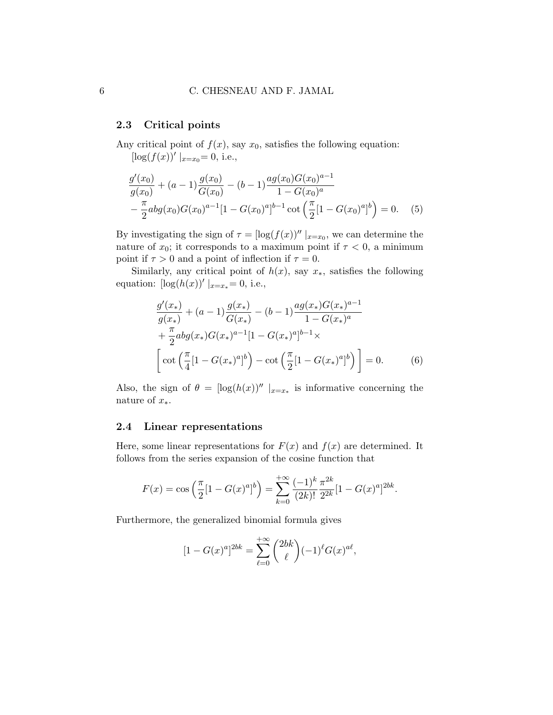### 2.3 Critical points

Any critical point of  $f(x)$ , say  $x_0$ , satisfies the following equation:  $[\log(f(x))' \mid_{x=x_0}=0, \text{ i.e.},$ 

$$
\frac{g'(x_0)}{g(x_0)} + (a-1)\frac{g(x_0)}{G(x_0)} - (b-1)\frac{ag(x_0)G(x_0)^{a-1}}{1 - G(x_0)^a} - \frac{\pi}{2}abg(x_0)G(x_0)^{a-1}[1 - G(x_0)^a]^{b-1}\cot\left(\frac{\pi}{2}[1 - G(x_0)^a]^b\right) = 0.
$$
 (5)

By investigating the sign of  $\tau = [\log(f(x))' |_{x=x_0}$ , we can determine the nature of  $x_0$ ; it corresponds to a maximum point if  $\tau < 0$ , a minimum point if  $\tau > 0$  and a point of inflection if  $\tau = 0$ .

Similarly, any critical point of  $h(x)$ , say  $x_*$ , satisfies the following equation:  $[\log(h(x))' |_{x=x_*} = 0$ , i.e.,

<span id="page-5-1"></span><span id="page-5-0"></span>
$$
\frac{g'(x_*)}{g(x_*)} + (a-1)\frac{g(x_*)}{G(x_*)} - (b-1)\frac{ag(x_*)G(x_*)^{a-1}}{1 - G(x_*)^a} \n+ \frac{\pi}{2}abg(x_*)G(x_*)^{a-1}[1 - G(x_*)^a]^{b-1} \times \n\left[\cot\left(\frac{\pi}{4}[1 - G(x_*)^a]^b\right) - \cot\left(\frac{\pi}{2}[1 - G(x_*)^a]^b\right)\right] = 0.
$$
\n(6)

Also, the sign of  $\theta = [\log(h(x))' |_{x=x_*}]$  is informative concerning the nature of  $x_*$ .

#### 2.4 Linear representations

Here, some linear representations for  $F(x)$  and  $f(x)$  are determined. It follows from the series expansion of the cosine function that

$$
F(x) = \cos\left(\frac{\pi}{2}[1 - G(x)^a]^b\right) = \sum_{k=0}^{+\infty} \frac{(-1)^k}{(2k)!} \frac{\pi^{2k}}{2^{2k}} [1 - G(x)^a]^{2bk}.
$$

Furthermore, the generalized binomial formula gives

$$
[1 - G(x)^{a}]^{2bk} = \sum_{\ell=0}^{+\infty} {2bk \choose \ell} (-1)^{\ell} G(x)^{a\ell},
$$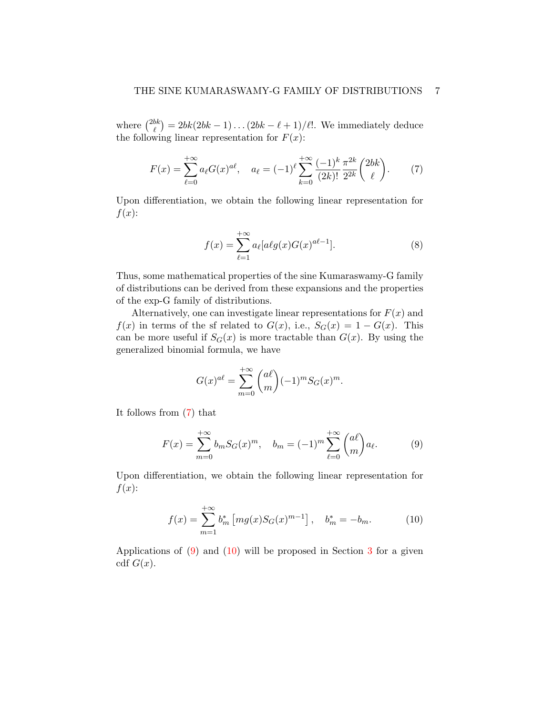where  $\binom{2bk}{\ell}$  $\binom{bk}{\ell} = 2bk(2bk - 1) \dots (2bk - \ell + 1)/\ell!$ . We immediately deduce the following linear representation for  $F(x)$ :

$$
F(x) = \sum_{\ell=0}^{+\infty} a_{\ell} G(x)^{a_{\ell}}, \quad a_{\ell} = (-1)^{\ell} \sum_{k=0}^{+\infty} \frac{(-1)^{k}}{(2k)!} \frac{\pi^{2k}}{2^{2k}} {2k \choose \ell}. \tag{7}
$$

Upon differentiation, we obtain the following linear representation for  $f(x)$ :

<span id="page-6-3"></span><span id="page-6-0"></span>
$$
f(x) = \sum_{\ell=1}^{+\infty} a_{\ell} [a\ell g(x) G(x)^{a\ell-1}].
$$
 (8)

Thus, some mathematical properties of the sine Kumaraswamy-G family of distributions can be derived from these expansions and the properties of the exp-G family of distributions.

Alternatively, one can investigate linear representations for  $F(x)$  and  $f(x)$  in terms of the sf related to  $G(x)$ , i.e.,  $S_G(x) = 1 - G(x)$ . This can be more useful if  $S_G(x)$  is more tractable than  $G(x)$ . By using the generalized binomial formula, we have

<span id="page-6-1"></span>
$$
G(x)^{a\ell} = \sum_{m=0}^{+\infty} {a\ell \choose m} (-1)^m S_G(x)^m.
$$

It follows from [\(7\)](#page-6-0) that

$$
F(x) = \sum_{m=0}^{+\infty} b_m S_G(x)^m, \quad b_m = (-1)^m \sum_{\ell=0}^{+\infty} {a\ell \choose m} a_\ell.
$$
 (9)

Upon differentiation, we obtain the following linear representation for  $f(x)$ :

<span id="page-6-2"></span>
$$
f(x) = \sum_{m=1}^{+\infty} b_m^* \left[ mg(x) S_G(x)^{m-1} \right], \quad b_m^* = -b_m. \tag{10}
$$

Applications of  $(9)$  and  $(10)$  will be proposed in Section [3](#page-13-0) for a given cdf  $G(x)$ .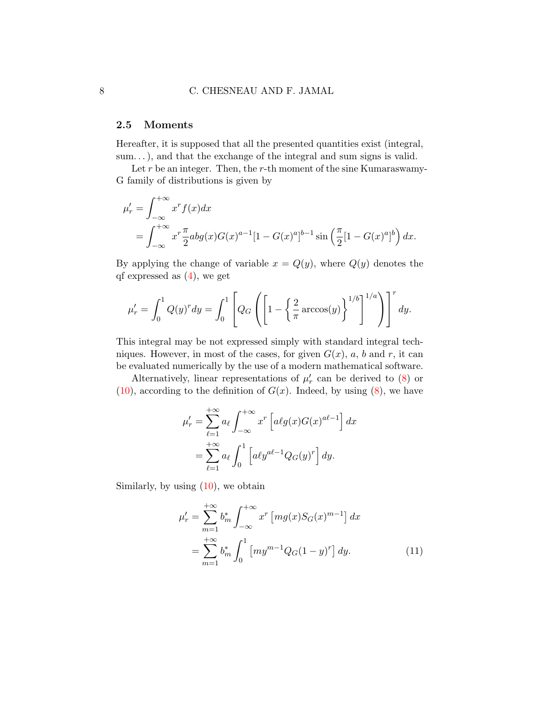### 2.5 Moments

Hereafter, it is supposed that all the presented quantities exist (integral, sum...), and that the exchange of the integral and sum signs is valid.

Let  $r$  be an integer. Then, the  $r$ -th moment of the sine Kumaraswamy-G family of distributions is given by

$$
\mu'_{r} = \int_{-\infty}^{+\infty} x^{r} f(x) dx
$$
  
= 
$$
\int_{-\infty}^{+\infty} x^{r} \frac{\pi}{2} abg(x) G(x)^{a-1} [1 - G(x)^{a}]^{b-1} \sin \left( \frac{\pi}{2} [1 - G(x)^{a}]^{b} \right) dx.
$$

By applying the change of variable  $x = Q(y)$ , where  $Q(y)$  denotes the qf expressed as  $(4)$ , we get

$$
\mu'_{r} = \int_{0}^{1} Q(y)^{r} dy = \int_{0}^{1} \left[ Q_G \left( \left[ 1 - \left\{ \frac{2}{\pi} \arccos(y) \right\}^{1/b} \right]^{1/a} \right) \right]^{r} dy.
$$

This integral may be not expressed simply with standard integral techniques. However, in most of the cases, for given  $G(x)$ , a, b and r, it can be evaluated numerically by the use of a modern mathematical software.

Alternatively, linear representations of  $\mu'_r$  can be derived to [\(8\)](#page-6-3) or  $(10)$ , according to the definition of  $G(x)$ . Indeed, by using  $(8)$ , we have

$$
\mu'_{r} = \sum_{\ell=1}^{+\infty} a_{\ell} \int_{-\infty}^{+\infty} x^{r} \left[ a\ell g(x) G(x)^{a\ell-1} \right] dx
$$

$$
= \sum_{\ell=1}^{+\infty} a_{\ell} \int_{0}^{1} \left[ a\ell y^{a\ell-1} Q_{G}(y)^{r} \right] dy.
$$

Similarly, by using  $(10)$ , we obtain

<span id="page-7-0"></span>
$$
\mu'_{r} = \sum_{m=1}^{+\infty} b_{m}^{*} \int_{-\infty}^{+\infty} x^{r} \left[ mg(x) S_{G}(x)^{m-1} \right] dx
$$

$$
= \sum_{m=1}^{+\infty} b_{m}^{*} \int_{0}^{1} \left[ my^{m-1} Q_{G}(1-y)^{r} \right] dy. \tag{11}
$$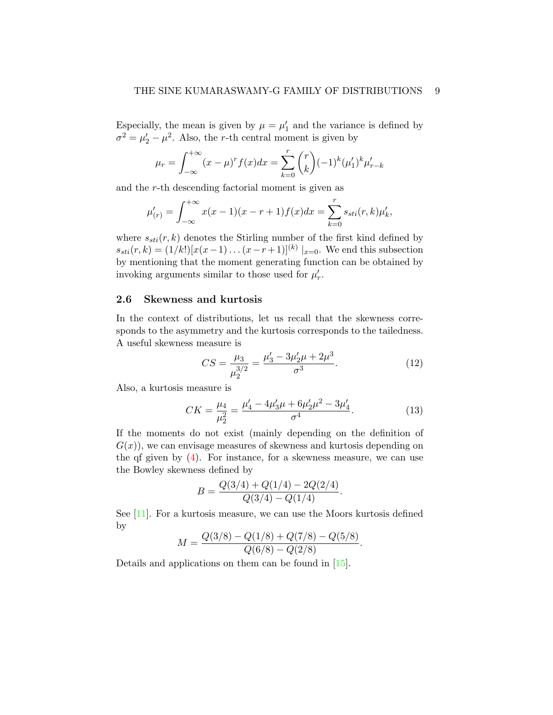Especially, the mean is given by  $\mu = \mu'_1$  and the variance is defined by  $\sigma^2 = \mu'_2 - \mu^2$ . Also, the r-th central moment is given by

$$
\mu_r = \int_{-\infty}^{+\infty} (x - \mu)^r f(x) dx = \sum_{k=0}^r \binom{r}{k} (-1)^k (\mu'_1)^k \mu'_{r-k}
$$

and the r-th descending factorial moment is given as

$$
\mu'_{(r)} = \int_{-\infty}^{+\infty} x(x-1)(x-r+1)f(x)dx = \sum_{k=0}^{r} s_{sti}(r,k)\mu'_{k},
$$

where  $s_{sti}(r, k)$  denotes the Stirling number of the first kind defined by  $s_{sti}(r, k) = (1/k!)[x(x-1)...(x-r+1)]^{(k)}|_{x=0}$ . We end this subsection by mentioning that the moment generating function can be obtained by invoking arguments similar to those used for  $\mu'_r$ .

### 2.6 Skewness and kurtosis

In the context of distributions, let us recall that the skewness corresponds to the asymmetry and the kurtosis corresponds to the tailedness. A useful skewness measure is

<span id="page-8-1"></span><span id="page-8-0"></span>
$$
CS = \frac{\mu_3}{\mu_2^{3/2}} = \frac{\mu'_3 - 3\mu'_2\mu + 2\mu^3}{\sigma^3}.
$$
 (12)

Also, a kurtosis measure is

$$
CK = \frac{\mu_4}{\mu_2^2} = \frac{\mu_4' - 4\mu_3'\mu + 6\mu_2'\mu^2 - 3\mu_4'}{\sigma^4}.
$$
 (13)

If the moments do not exist (mainly depending on the definition of  $G(x)$ , we can envisage measures of skewness and kurtosis depending on the qf given by  $(4)$ . For instance, for a skewness measure, we can use the Bowley skewness defined by

$$
B = \frac{Q(3/4) + Q(1/4) - 2Q(2/4)}{Q(3/4) - Q(1/4)}.
$$

See [\[11\]](#page-30-5). For a kurtosis measure, we can use the Moors kurtosis defined by

$$
M = \frac{Q(3/8) - Q(1/8) + Q(7/8) - Q(5/8)}{Q(6/8) - Q(2/8)}.
$$

Details and applications on them can be found in [\[15\]](#page-30-6).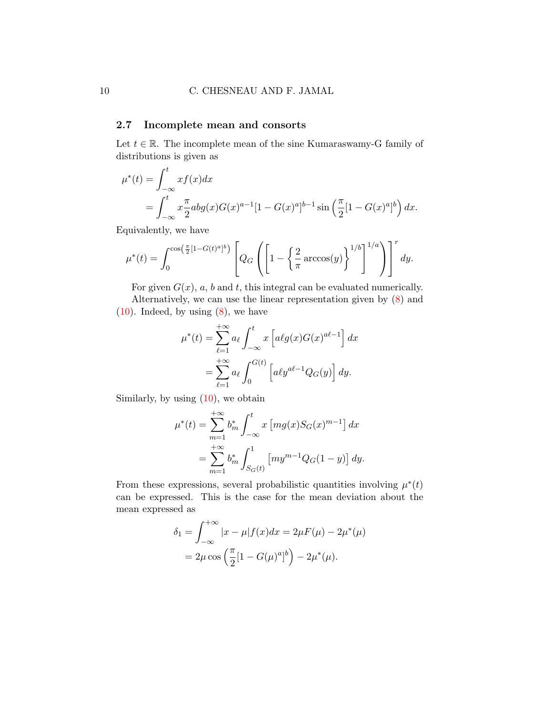### 2.7 Incomplete mean and consorts

Let  $t \in \mathbb{R}$ . The incomplete mean of the sine Kumaraswamy-G family of distributions is given as

$$
\mu^*(t) = \int_{-\infty}^t x f(x) dx
$$
  
= 
$$
\int_{-\infty}^t x \frac{\pi}{2} abg(x)G(x)^{a-1}[1 - G(x)^a]^{b-1} \sin\left(\frac{\pi}{2}[1 - G(x)^a]^b\right) dx.
$$

Equivalently, we have

$$
\mu^*(t) = \int_0^{\cos\left(\frac{\pi}{2}\left[1 - G(t)^a\right]^b\right)} \left[Q_G\left(\left[1 - \left\{\frac{2}{\pi}\arccos(y)\right\}^{1/b}\right]^{1/a}\right)\right]^r dy.
$$

For given  $G(x)$ , a, b and t, this integral can be evaluated numerically.

Alternatively, we can use the linear representation given by [\(8\)](#page-6-3) and  $(10)$ . Indeed, by using  $(8)$ , we have

$$
\mu^*(t) = \sum_{\ell=1}^{+\infty} a_{\ell} \int_{-\infty}^t x \left[ a\ell g(x) G(x)^{a\ell-1} \right] dx
$$
  
= 
$$
\sum_{\ell=1}^{+\infty} a_{\ell} \int_0^{G(t)} \left[ a\ell y^{a\ell-1} Q_G(y) \right] dy.
$$

Similarly, by using  $(10)$ , we obtain

$$
\mu^*(t) = \sum_{m=1}^{+\infty} b_m^* \int_{-\infty}^t x \left[ mg(x) S_G(x)^{m-1} \right] dx
$$
  
= 
$$
\sum_{m=1}^{+\infty} b_m^* \int_{S_G(t)}^1 \left[ my^{m-1} Q_G(1-y) \right] dy.
$$

From these expressions, several probabilistic quantities involving  $\mu^*(t)$ can be expressed. This is the case for the mean deviation about the mean expressed as

$$
\delta_1 = \int_{-\infty}^{+\infty} |x - \mu| f(x) dx = 2\mu F(\mu) - 2\mu^*(\mu)
$$
  
=  $2\mu \cos\left(\frac{\pi}{2}[1 - G(\mu)^a]^b\right) - 2\mu^*(\mu).$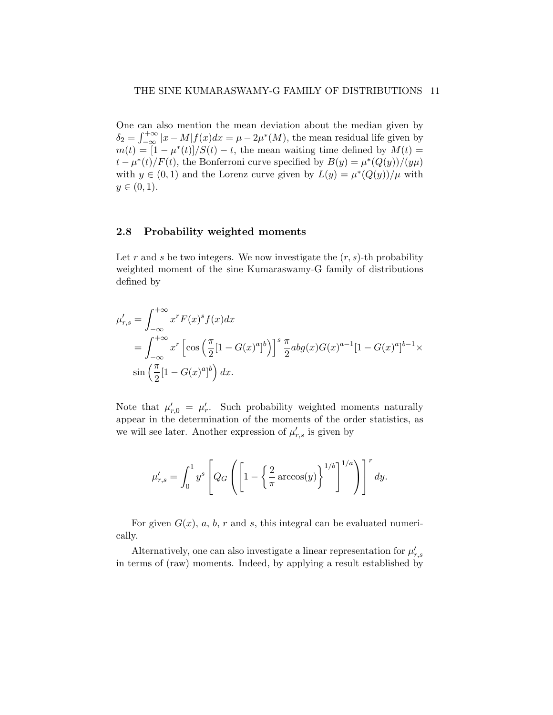One can also mention the mean deviation about the median given by  $\delta_2 = \int_{-\infty}^{+\infty} |x - M| f(x) dx = \mu - 2\mu^*(M)$ , the mean residual life given by  $m(t) = (1 - \mu^*(t))/S(t) - t$ , the mean waiting time defined by  $M(t) =$  $t - \mu^*(t) / F(t)$ , the Bonferroni curve specified by  $B(y) = \mu^*(Q(y))/(y\mu)$ with  $y \in (0,1)$  and the Lorenz curve given by  $L(y) = \mu^*(Q(y))/\mu$  with  $y \in (0, 1)$ .

#### 2.8 Probability weighted moments

Let r and s be two integers. We now investigate the  $(r, s)$ -th probability weighted moment of the sine Kumaraswamy-G family of distributions defined by

$$
\mu'_{r,s} = \int_{-\infty}^{+\infty} x^r F(x)^s f(x) dx
$$
  
= 
$$
\int_{-\infty}^{+\infty} x^r \left[ \cos \left( \frac{\pi}{2} [1 - G(x)^a]^b \right) \right]^s \frac{\pi}{2} abg(x) G(x)^{a-1} [1 - G(x)^a]^{b-1} \times
$$
  

$$
\sin \left( \frac{\pi}{2} [1 - G(x)^a]^b \right) dx.
$$

Note that  $\mu'_{r,0} = \mu'_{r}$ . Such probability weighted moments naturally appear in the determination of the moments of the order statistics, as we will see later. Another expression of  $\mu'_{r,s}$  is given by

$$
\mu_{r,s}' = \int_0^1 y^s \left[ Q_G \left( \left[ 1 - \left\{ \frac{2}{\pi} \arccos(y) \right\}^{1/b} \right]^{1/a} \right) \right]^r dy.
$$

For given  $G(x)$ , a, b, r and s, this integral can be evaluated numerically.

Alternatively, one can also investigate a linear representation for  $\mu'_{r,s}$ in terms of (raw) moments. Indeed, by applying a result established by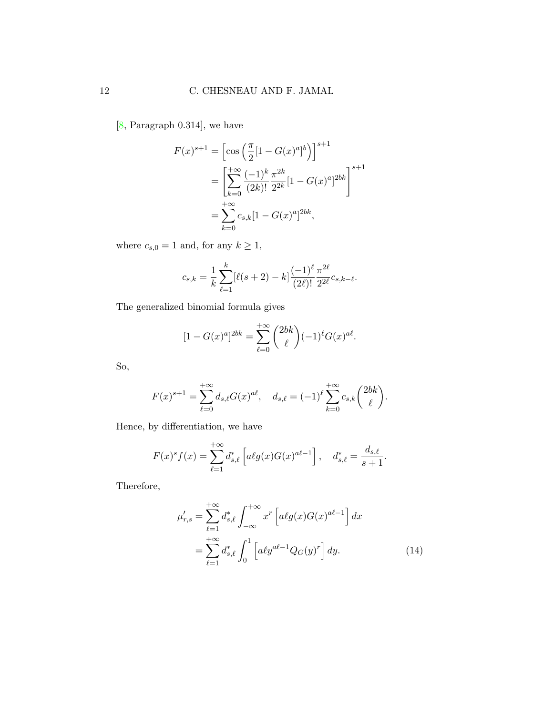[\[8,](#page-30-7) Paragraph 0.314], we have

$$
F(x)^{s+1} = \left[\cos\left(\frac{\pi}{2}[1 - G(x)^a]^b\right)\right]^{s+1}
$$
  
= 
$$
\left[\sum_{k=0}^{+\infty} \frac{(-1)^k \pi^{2k}}{(2k)!} [1 - G(x)^a]^{2bk}\right]^{s+1}
$$
  
= 
$$
\sum_{k=0}^{+\infty} c_{s,k} [1 - G(x)^a]^{2bk},
$$

where  $c_{s,0} = 1$  and, for any  $k \ge 1$ ,

$$
c_{s,k} = \frac{1}{k} \sum_{\ell=1}^k [\ell(s+2) - k] \frac{(-1)^{\ell}}{(2\ell)!} \frac{\pi^{2\ell}}{2^{2\ell}} c_{s,k-\ell}.
$$

The generalized binomial formula gives

$$
[1 - G(x)^{a}]^{2bk} = \sum_{\ell=0}^{+\infty} {2bk \choose \ell} (-1)^{\ell} G(x)^{a\ell}.
$$

So,

$$
F(x)^{s+1} = \sum_{\ell=0}^{+\infty} d_{s,\ell} G(x)^{a\ell}, \quad d_{s,\ell} = (-1)^{\ell} \sum_{k=0}^{+\infty} c_{s,k} {2bk \choose \ell}.
$$

Hence, by differentiation, we have

$$
F(x)^{s} f(x) = \sum_{\ell=1}^{+\infty} d_{s,\ell}^{*} \left[ a\ell g(x) G(x)^{a\ell-1} \right], \quad d_{s,\ell}^{*} = \frac{d_{s,\ell}}{s+1}.
$$

Therefore,

<span id="page-11-0"></span>
$$
\mu'_{r,s} = \sum_{\ell=1}^{+\infty} d^*_{s,\ell} \int_{-\infty}^{+\infty} x^r \left[ a\ell g(x) G(x)^{a\ell-1} \right] dx
$$
  
= 
$$
\sum_{\ell=1}^{+\infty} d^*_{s,\ell} \int_0^1 \left[ a\ell y^{a\ell-1} Q_G(y)^r \right] dy.
$$
 (14)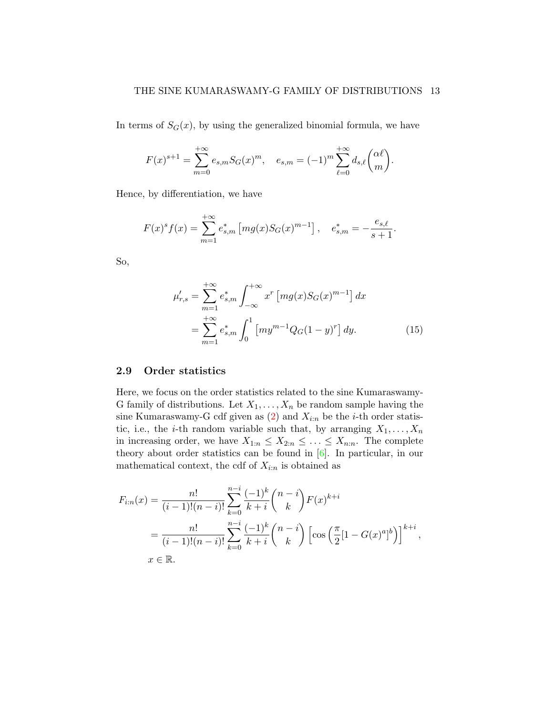In terms of  $S<sub>G</sub>(x)$ , by using the generalized binomial formula, we have

$$
F(x)^{s+1} = \sum_{m=0}^{+\infty} e_{s,m} S_G(x)^m, \quad e_{s,m} = (-1)^m \sum_{\ell=0}^{+\infty} d_{s,\ell} \binom{\alpha \ell}{m}.
$$

Hence, by differentiation, we have

$$
F(x)^{s} f(x) = \sum_{m=1}^{+\infty} e_{s,m}^{*} [mg(x)S_{G}(x)^{m-1}], \quad e_{s,m}^{*} = -\frac{e_{s,\ell}}{s+1}.
$$

So,

<span id="page-12-0"></span>
$$
\mu'_{r,s} = \sum_{m=1}^{+\infty} e^*_{s,m} \int_{-\infty}^{+\infty} x^r \left[ mg(x) S_G(x)^{m-1} \right] dx
$$
  
= 
$$
\sum_{m=1}^{+\infty} e^*_{s,m} \int_0^1 \left[ my^{m-1} Q_G(1-y)^r \right] dy.
$$
 (15)

#### <span id="page-12-1"></span>2.9 Order statistics

Here, we focus on the order statistics related to the sine Kumaraswamy-G family of distributions. Let  $X_1, \ldots, X_n$  be random sample having the sine Kumaraswamy-G cdf given as  $(2)$  and  $X_{i:n}$  be the *i*-th order statistic, i.e., the *i*-th random variable such that, by arranging  $X_1, \ldots, X_n$ in increasing order, we have  $X_{1:n} \leq X_{2:n} \leq \ldots \leq X_{n:n}$ . The complete theory about order statistics can be found in [\[6\]](#page-30-8). In particular, in our mathematical context, the cdf of  $X_{i:n}$  is obtained as

$$
F_{i:n}(x) = \frac{n!}{(i-1)!(n-i)!} \sum_{k=0}^{n-i} \frac{(-1)^k}{k+i} {n-i \choose k} F(x)^{k+i}
$$
  
= 
$$
\frac{n!}{(i-1)!(n-i)!} \sum_{k=0}^{n-i} \frac{(-1)^k}{k+i} {n-i \choose k} \left[ \cos \left( \frac{\pi}{2} [1 - G(x)^a]^b \right) \right]^{k+i},
$$
  
 $x \in \mathbb{R}.$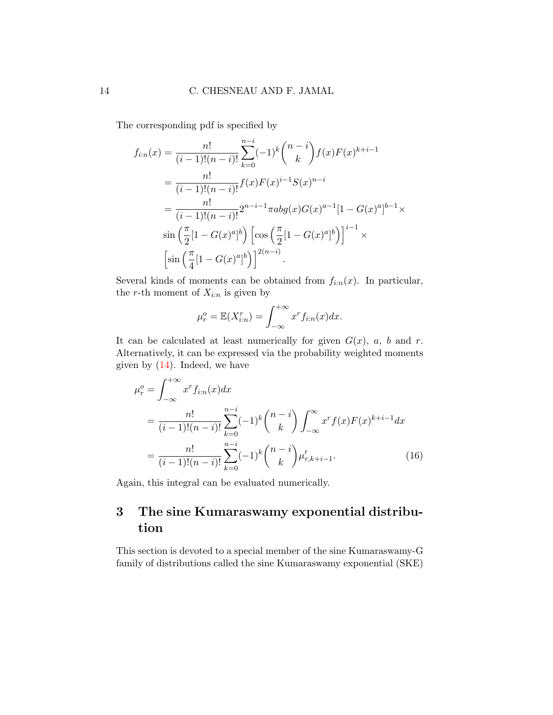The corresponding pdf is specified by

$$
f_{i:n}(x) = \frac{n!}{(i-1)!(n-i)!} \sum_{k=0}^{n-i} (-1)^k {n-i \choose k} f(x) F(x)^{k+i-1}
$$
  
= 
$$
\frac{n!}{(i-1)!(n-i)!} f(x) F(x)^{i-1} S(x)^{n-i}
$$
  
= 
$$
\frac{n!}{(i-1)!(n-i)!} 2^{n-i-1} \pi \omega g(x) G(x)^{a-1} [1 - G(x)^a]^{b-1} \times
$$
  

$$
\sin \left(\frac{\pi}{2} [1 - G(x)^a]^b \right) \left[ \cos \left(\frac{\pi}{2} [1 - G(x)^a]^b \right) \right]^{i-1} \times
$$
  

$$
\left[ \sin \left(\frac{\pi}{4} [1 - G(x)^a]^b \right) \right]^{2(n-i)}.
$$

Several kinds of moments can be obtained from  $f_{i:n}(x)$ . In particular, the r-th moment of  $X_{i:n}$  is given by

<span id="page-13-1"></span>
$$
\mu_r^o = \mathbb{E}(X_{i:n}^r) = \int_{-\infty}^{+\infty} x^r f_{i:n}(x) dx.
$$

It can be calculated at least numerically for given  $G(x)$ , a, b and r. Alternatively, it can be expressed via the probability weighted moments given by  $(14)$ . Indeed, we have

$$
\mu_r^o = \int_{-\infty}^{+\infty} x^r f_{i:n}(x) dx
$$
  
= 
$$
\frac{n!}{(i-1)!(n-i)!} \sum_{k=0}^{n-i} (-1)^k {n-i \choose k} \int_{-\infty}^{\infty} x^r f(x) F(x)^{k+i-1} dx
$$
  
= 
$$
\frac{n!}{(i-1)!(n-i)!} \sum_{k=0}^{n-i} (-1)^k {n-i \choose k} \mu'_{r,k+i-1}.
$$
 (16)

Again, this integral can be evaluated numerically.

# <span id="page-13-0"></span>3 The sine Kumaraswamy exponential distribution

This section is devoted to a special member of the sine Kumaraswamy-G family of distributions called the sine Kumaraswamy exponential (SKE)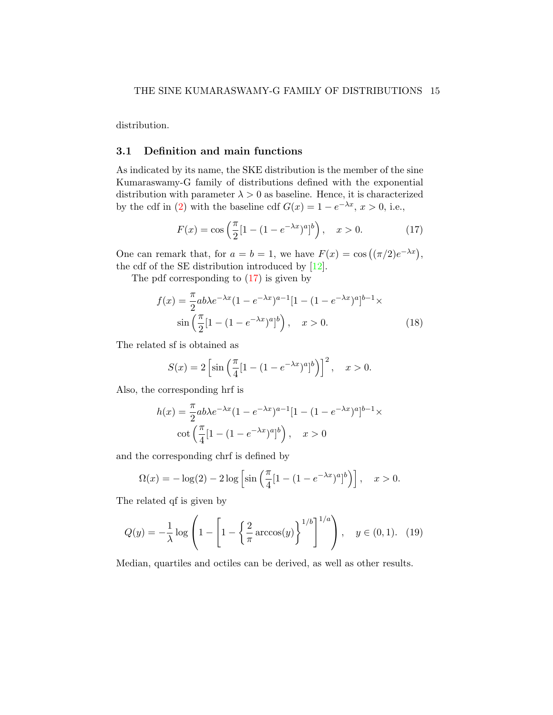distribution.

#### 3.1 Definition and main functions

As indicated by its name, the SKE distribution is the member of the sine Kumaraswamy-G family of distributions defined with the exponential distribution with parameter  $\lambda > 0$  as baseline. Hence, it is characterized by the cdf in [\(2\)](#page-2-0) with the baseline cdf  $G(x) = 1 - e^{-\lambda x}$ ,  $x > 0$ , i.e.,

<span id="page-14-0"></span>
$$
F(x) = \cos\left(\frac{\pi}{2}[1 - (1 - e^{-\lambda x})^a]^b\right), \quad x > 0.
$$
 (17)

One can remark that, for  $a = b = 1$ , we have  $F(x) = \cos((\pi/2)e^{-\lambda x})$ , the cdf of the SE distribution introduced by [\[12\]](#page-30-0).

The pdf corresponding to [\(17\)](#page-14-0) is given by

$$
f(x) = \frac{\pi}{2}ab\lambda e^{-\lambda x}(1 - e^{-\lambda x})^{a-1}[1 - (1 - e^{-\lambda x})^a]^{b-1} \times
$$
  
sin $\left(\frac{\pi}{2}[1 - (1 - e^{-\lambda x})^a]^b\right)$ ,  $x > 0$ . (18)

The related sf is obtained as

<span id="page-14-1"></span>
$$
S(x) = 2\left[\sin\left(\frac{\pi}{4}[1 - (1 - e^{-\lambda x})^a]^b\right)\right]^2, \quad x > 0.
$$

Also, the corresponding hrf is

$$
h(x) = \frac{\pi}{2}ab\lambda e^{-\lambda x}(1 - e^{-\lambda x})^{a-1}[1 - (1 - e^{-\lambda x})^a]^{b-1} \times
$$
  
 
$$
\cot\left(\frac{\pi}{4}[1 - (1 - e^{-\lambda x})^a]^b\right), \quad x > 0
$$

and the corresponding chrf is defined by

<span id="page-14-2"></span>
$$
\Omega(x) = -\log(2) - 2\log\left[\sin\left(\frac{\pi}{4}[1 - (1 - e^{-\lambda x})^a]^b\right)\right], \quad x > 0.
$$

The related qf is given by

$$
Q(y) = -\frac{1}{\lambda} \log \left( 1 - \left[ 1 - \left\{ \frac{2}{\pi} \arccos(y) \right\}^{1/b} \right]^{1/a} \right), \quad y \in (0, 1). \tag{19}
$$

Median, quartiles and octiles can be derived, as well as other results.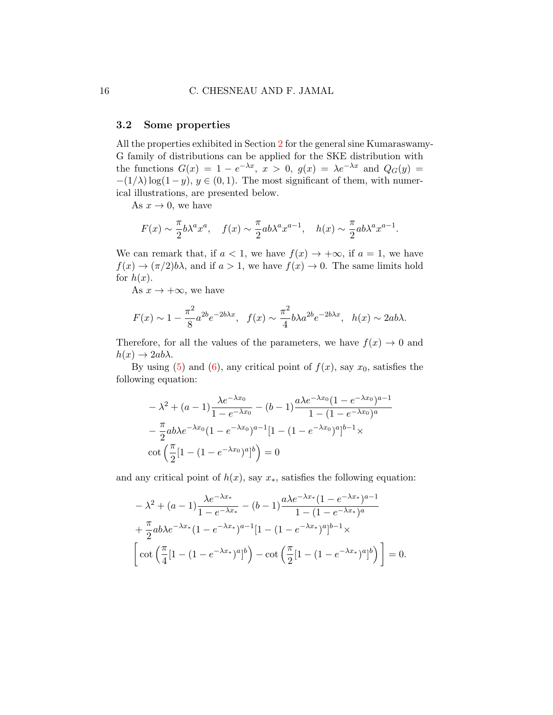#### 3.2 Some properties

All the properties exhibited in Section [2](#page-3-0) for the general sine Kumaraswamy-G family of distributions can be applied for the SKE distribution with the functions  $G(x) = 1 - e^{-\lambda x}$ ,  $x > 0$ ,  $g(x) = \lambda e^{-\lambda x}$  and  $Q_G(y) =$  $-(1/\lambda) \log(1 - y), y \in (0, 1)$ . The most significant of them, with numerical illustrations, are presented below.

As  $x \to 0$ , we have

$$
F(x) \sim \frac{\pi}{2} b \lambda^a x^a, \quad f(x) \sim \frac{\pi}{2} a b \lambda^a x^{a-1}, \quad h(x) \sim \frac{\pi}{2} a b \lambda^a x^{a-1}.
$$

We can remark that, if  $a < 1$ , we have  $f(x) \rightarrow +\infty$ , if  $a = 1$ , we have  $f(x) \rightarrow (\pi/2)b\lambda$ , and if  $a > 1$ , we have  $f(x) \rightarrow 0$ . The same limits hold for  $h(x)$ .

As  $x \to +\infty$ , we have

$$
F(x) \sim 1 - \frac{\pi^2}{8} a^{2b} e^{-2b\lambda x}, \quad f(x) \sim \frac{\pi^2}{4} b\lambda a^{2b} e^{-2b\lambda x}, \quad h(x) \sim 2ab\lambda.
$$

Therefore, for all the values of the parameters, we have  $f(x) \to 0$  and  $h(x) \rightarrow 2ab\lambda$ .

By using [\(5\)](#page-5-0) and [\(6\)](#page-5-1), any critical point of  $f(x)$ , say  $x_0$ , satisfies the following equation:

$$
-\lambda^2 + (a-1)\frac{\lambda e^{-\lambda x_0}}{1 - e^{-\lambda x_0}} - (b-1)\frac{a\lambda e^{-\lambda x_0}(1 - e^{-\lambda x_0})^{a-1}}{1 - (1 - e^{-\lambda x_0})^a}
$$

$$
-\frac{\pi}{2}ab\lambda e^{-\lambda x_0}(1 - e^{-\lambda x_0})^{a-1}[1 - (1 - e^{-\lambda x_0})^{a}]^{b-1} \times
$$

$$
\cot\left(\frac{\pi}{2}[1 - (1 - e^{-\lambda x_0})^a]^b\right) = 0
$$

and any critical point of  $h(x)$ , say  $x_*$ , satisfies the following equation:

$$
-\lambda^{2} + (a - 1) \frac{\lambda e^{-\lambda x_{*}}}{1 - e^{-\lambda x_{*}}} - (b - 1) \frac{a\lambda e^{-\lambda x_{*}} (1 - e^{-\lambda x_{*}})^{a - 1}}{1 - (1 - e^{-\lambda x_{*}})^{a}}
$$

$$
+\frac{\pi}{2} ab\lambda e^{-\lambda x_{*}} (1 - e^{-\lambda x_{*}})^{a - 1} [1 - (1 - e^{-\lambda x_{*}})^{a}]^{b - 1} \times
$$

$$
\left[ \cot \left( \frac{\pi}{4} [1 - (1 - e^{-\lambda x_{*}})^{a}]^{b} \right) - \cot \left( \frac{\pi}{2} [1 - (1 - e^{-\lambda x_{*}})^{a}]^{b} \right) \right] = 0.
$$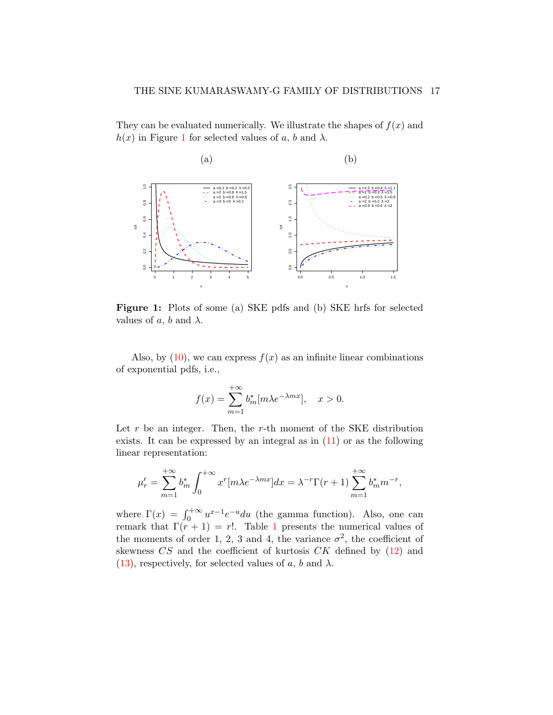They can be evaluated numerically. We illustrate the shapes of  $f(x)$  and  $h(x)$  in Figure [1](#page-16-0) for selected values of a, b and  $\lambda$ .

<span id="page-16-0"></span>

Figure 1: Plots of some (a) SKE pdfs and (b) SKE hrfs for selected values of a, b and  $\lambda$ .

Also, by  $(10)$ , we can express  $f(x)$  as an infinite linear combinations of exponential pdfs, i.e.,

$$
f(x) = \sum_{m=1}^{+\infty} b_m^*[m\lambda e^{-\lambda mx}], \quad x > 0.
$$

Let  $r$  be an integer. Then, the  $r$ -th moment of the SKE distribution exists. It can be expressed by an integral as in  $(11)$  or as the following linear representation:

$$
\mu'_{r} = \sum_{m=1}^{+\infty} b_m^{*} \int_0^{+\infty} x^{r} [m \lambda e^{-\lambda mx}] dx = \lambda^{-r} \Gamma(r+1) \sum_{m=1}^{+\infty} b_m^{*} m^{-r},
$$

where  $\Gamma(x) = \int_0^{+\infty} u^{x-1} e^{-u} du$  (the gamma function). Also, one can remark that  $\Gamma(r+1) = r!$  $\Gamma(r+1) = r!$  $\Gamma(r+1) = r!$ . Table 1 presents the numerical values of the moments of order 1, 2, 3 and 4, the variance  $\sigma^2$ , the coefficient of skewness  $CS$  and the coefficient of kurtosis  $CK$  defined by  $(12)$  and [\(13\)](#page-8-1), respectively, for selected values of a, b and  $\lambda$ .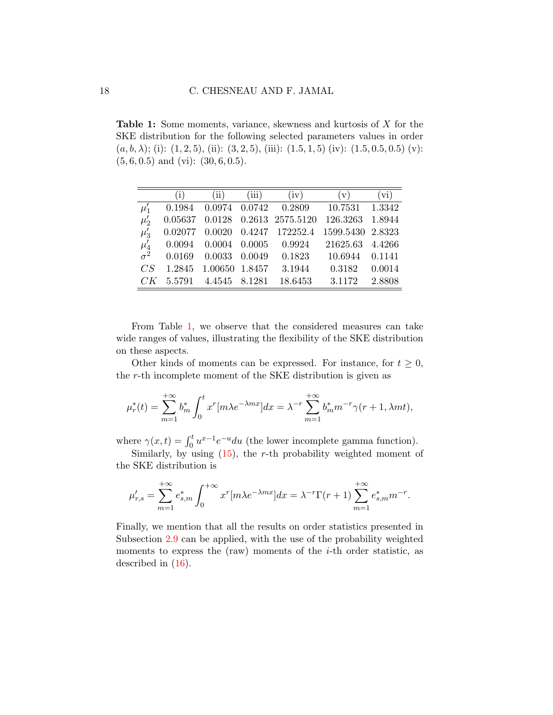<span id="page-17-0"></span>Table 1: Some moments, variance, skewness and kurtosis of X for the SKE distribution for the following selected parameters values in order  $(a, b, \lambda);$  (i):  $(1, 2, 5),$  (ii):  $(3, 2, 5),$  (iii):  $(1.5, 1, 5)$  (iv):  $(1.5, 0.5, 0.5)$  (v):  $(5, 6, 0.5)$  and (vi):  $(30, 6, 0.5)$ .

|                        | (i)     | (ii)           | (iii) | (iv)                         | (v)              | $\rm(vi)$ |
|------------------------|---------|----------------|-------|------------------------------|------------------|-----------|
| $\mu'_1$               | 0.1984  | 0.0974 0.0742  |       | 0.2809                       | 10.7531          | 1.3342    |
| $\mu'_{2}$             | 0.05637 |                |       | 0.0128  0.2613  2575.5120    | 126.3263         | 1.8944    |
| $\mu'_3$               | 0.02077 |                |       | $0.0020$ $0.4247$ $172252.4$ | 1599.5430 2.8323 |           |
| $\mu'_4$<br>$\sigma^2$ | 0.0094  | 0.0004 0.0005  |       | 0.9924                       | 21625.63         | 4.4266    |
|                        | 0.0169  | 0.0033 0.0049  |       | 0.1823                       | 10.6944          | 0.1141    |
| CS                     | 1.2845  | 1.00650 1.8457 |       | 3.1944                       | 0.3182           | 0.0014    |
|                        | 5.5791  | 4.4545 8.1281  |       | 18.6453                      | 3.1172           | 2.8808    |

From Table [1,](#page-17-0) we observe that the considered measures can take wide ranges of values, illustrating the flexibility of the SKE distribution on these aspects.

Other kinds of moments can be expressed. For instance, for  $t \geq 0$ , the r-th incomplete moment of the SKE distribution is given as

$$
\mu_r^*(t) = \sum_{m=1}^{+\infty} b_m^* \int_0^t x^r [m \lambda e^{-\lambda mx}] dx = \lambda^{-r} \sum_{m=1}^{+\infty} b_m^* m^{-r} \gamma(r+1, \lambda m t),
$$

where  $\gamma(x,t) = \int_0^t u^{x-1} e^{-u} du$  (the lower incomplete gamma function).

Similarly, by using  $(15)$ , the r-th probability weighted moment of the SKE distribution is

$$
\mu'_{r,s} = \sum_{m=1}^{+\infty} e^*_{s,m} \int_0^{+\infty} x^r [m \lambda e^{-\lambda m x}] dx = \lambda^{-r} \Gamma(r+1) \sum_{m=1}^{+\infty} e^*_{s,m} m^{-r}.
$$

Finally, we mention that all the results on order statistics presented in Subsection [2.9](#page-12-1) can be applied, with the use of the probability weighted moments to express the  $(raw)$  moments of the *i*-th order statistic, as described in [\(16\)](#page-13-1).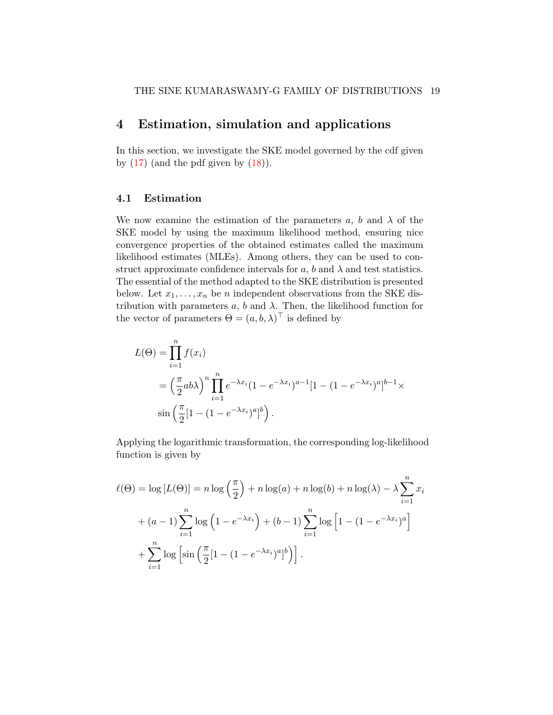# <span id="page-18-0"></span>4 Estimation, simulation and applications

In this section, we investigate the SKE model governed by the cdf given by  $(17)$  (and the pdf given by  $(18)$ ).

### 4.1 Estimation

We now examine the estimation of the parameters  $a, b$  and  $\lambda$  of the SKE model by using the maximum likelihood method, ensuring nice convergence properties of the obtained estimates called the maximum likelihood estimates (MLEs). Among others, they can be used to construct approximate confidence intervals for a, b and  $\lambda$  and test statistics. The essential of the method adapted to the SKE distribution is presented below. Let  $x_1, \ldots, x_n$  be n independent observations from the SKE distribution with parameters  $a, b$  and  $\lambda$ . Then, the likelihood function for the vector of parameters  $\Theta = (a, b, \lambda)^{\top}$  is defined by

$$
L(\Theta) = \prod_{i=1}^{n} f(x_i)
$$
  
=  $\left(\frac{\pi}{2}ab\lambda\right)^n \prod_{i=1}^{n} e^{-\lambda x_i} (1 - e^{-\lambda x_i})^{a-1} [1 - (1 - e^{-\lambda x_i})^a]^{b-1} \times$   

$$
\sin\left(\frac{\pi}{2} [1 - (1 - e^{-\lambda x_i})^a]^b\right).
$$

Applying the logarithmic transformation, the corresponding log-likelihood function is given by

$$
\ell(\Theta) = \log \left[ L(\Theta) \right] = n \log \left( \frac{\pi}{2} \right) + n \log(a) + n \log(b) + n \log(\lambda) - \lambda \sum_{i=1}^{n} x_i
$$

$$
+ (a - 1) \sum_{i=1}^{n} \log \left( 1 - e^{-\lambda x_i} \right) + (b - 1) \sum_{i=1}^{n} \log \left[ 1 - (1 - e^{-\lambda x_i})^a \right]
$$

$$
+ \sum_{i=1}^{n} \log \left[ \sin \left( \frac{\pi}{2} [1 - (1 - e^{-\lambda x_i})^a]^b \right) \right].
$$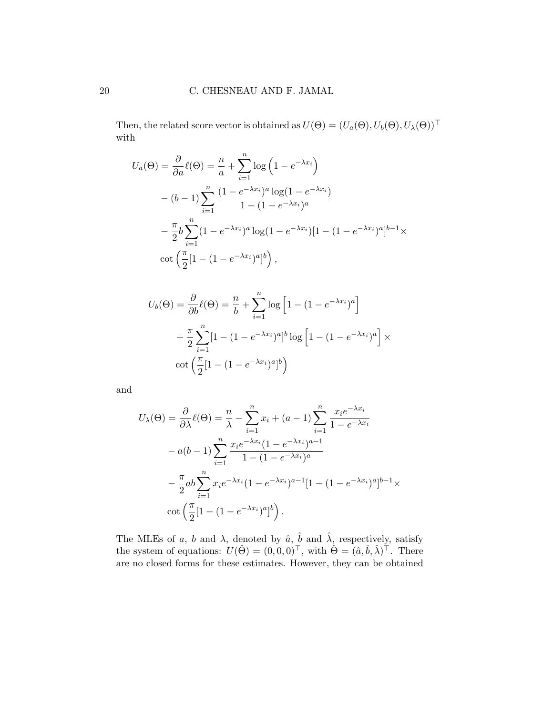Then, the related score vector is obtained as  $U(\Theta) = (U_a(\Theta), U_b(\Theta), U_\lambda(\Theta))^{\top}$ with

$$
U_a(\Theta) = \frac{\partial}{\partial a} \ell(\Theta) = \frac{n}{a} + \sum_{i=1}^n \log \left( 1 - e^{-\lambda x_i} \right)
$$
  
 
$$
- (b-1) \sum_{i=1}^n \frac{(1 - e^{-\lambda x_i})^a \log(1 - e^{-\lambda x_i})}{1 - (1 - e^{-\lambda x_i})^a}
$$
  
 
$$
- \frac{\pi}{2} b \sum_{i=1}^n (1 - e^{-\lambda x_i})^a \log(1 - e^{-\lambda x_i}) [1 - (1 - e^{-\lambda x_i})^a]^{b-1} \times
$$
  
 
$$
\cot \left( \frac{\pi}{2} [1 - (1 - e^{-\lambda x_i})^a]^b \right),
$$

$$
U_b(\Theta) = \frac{\partial}{\partial b} \ell(\Theta) = \frac{n}{b} + \sum_{i=1}^n \log \left[ 1 - (1 - e^{-\lambda x_i})^a \right]
$$

$$
+ \frac{\pi}{2} \sum_{i=1}^n \left[ 1 - (1 - e^{-\lambda x_i})^a \right]^b \log \left[ 1 - (1 - e^{-\lambda x_i})^a \right] \times
$$

$$
\cot \left( \frac{\pi}{2} \left[ 1 - (1 - e^{-\lambda x_i})^a \right]^b \right)
$$

and

$$
U_{\lambda}(\Theta) = \frac{\partial}{\partial \lambda} \ell(\Theta) = \frac{n}{\lambda} - \sum_{i=1}^{n} x_i + (a-1) \sum_{i=1}^{n} \frac{x_i e^{-\lambda x_i}}{1 - e^{-\lambda x_i}}
$$

$$
- a(b-1) \sum_{i=1}^{n} \frac{x_i e^{-\lambda x_i} (1 - e^{-\lambda x_i})^{a-1}}{1 - (1 - e^{-\lambda x_i})^a}
$$

$$
- \frac{\pi}{2} ab \sum_{i=1}^{n} x_i e^{-\lambda x_i} (1 - e^{-\lambda x_i})^{a-1} [1 - (1 - e^{-\lambda x_i})^a]^{b-1} \times
$$

$$
\cot \left( \frac{\pi}{2} [1 - (1 - e^{-\lambda x_i})^a]^b \right).
$$

The MLEs of a, b and  $\lambda$ , denoted by  $\hat{a}$ ,  $\hat{b}$  and  $\hat{\lambda}$ , respectively, satisfy the system of equations:  $U(\hat{\Theta}) = (0,0,0)^{\top}$ , with  $\hat{\Theta} = (\hat{a}, \hat{b}, \hat{\lambda})^{\top}$ . There are no closed forms for these estimates. However, they can be obtained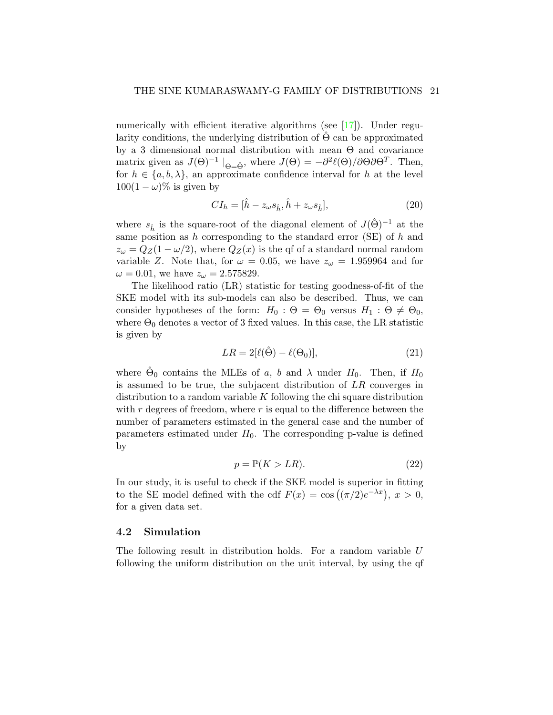numerically with efficient iterative algorithms (see  $[17]$ ). Under regularity conditions, the underlying distribution of  $\Theta$  can be approximated by a 3 dimensional normal distribution with mean Θ and covariance matrix given as  $J(\Theta)^{-1} \mid_{\Theta=\hat{\Theta}}$ , where  $J(\Theta) = -\partial^2 \ell(\Theta)/\partial \Theta \partial \Theta^T$ . Then, for  $h \in \{a, b, \lambda\}$ , an approximate confidence interval for h at the level  $100(1 - \omega)\%$  is given by

<span id="page-20-0"></span>
$$
CI_h = [\hat{h} - z_\omega s_{\hat{h}}, \hat{h} + z_\omega s_{\hat{h}}],\tag{20}
$$

where  $s_{\hat{h}}$  is the square-root of the diagonal element of  $J(\hat{\Theta})^{-1}$  at the same position as  $h$  corresponding to the standard error  $(SE)$  of  $h$  and  $z_{\omega} = Q_Z(1 - \omega/2)$ , where  $Q_Z(x)$  is the qf of a standard normal random variable Z. Note that, for  $\omega = 0.05$ , we have  $z_{\omega} = 1.959964$  and for  $\omega = 0.01$ , we have  $z_{\omega} = 2.575829$ .

The likelihood ratio (LR) statistic for testing goodness-of-fit of the SKE model with its sub-models can also be described. Thus, we can consider hypotheses of the form:  $H_0$ :  $\Theta = \Theta_0$  versus  $H_1$ :  $\Theta \neq \Theta_0$ , where  $\Theta_0$  denotes a vector of 3 fixed values. In this case, the LR statistic is given by

<span id="page-20-1"></span>
$$
LR = 2[\ell(\hat{\Theta}) - \ell(\Theta_0)],\tag{21}
$$

where  $\hat{\Theta}_0$  contains the MLEs of a, b and  $\lambda$  under  $H_0$ . Then, if  $H_0$ is assumed to be true, the subjacent distribution of  $LR$  converges in distribution to a random variable  $K$  following the chi square distribution with  $r$  degrees of freedom, where  $r$  is equal to the difference between the number of parameters estimated in the general case and the number of parameters estimated under  $H_0$ . The corresponding p-value is defined by

<span id="page-20-2"></span>
$$
p = \mathbb{P}(K > LR). \tag{22}
$$

In our study, it is useful to check if the SKE model is superior in fitting to the SE model defined with the cdf  $F(x) = \cos((\pi/2)e^{-\lambda x}), x > 0,$ for a given data set.

#### 4.2 Simulation

The following result in distribution holds. For a random variable U following the uniform distribution on the unit interval, by using the qf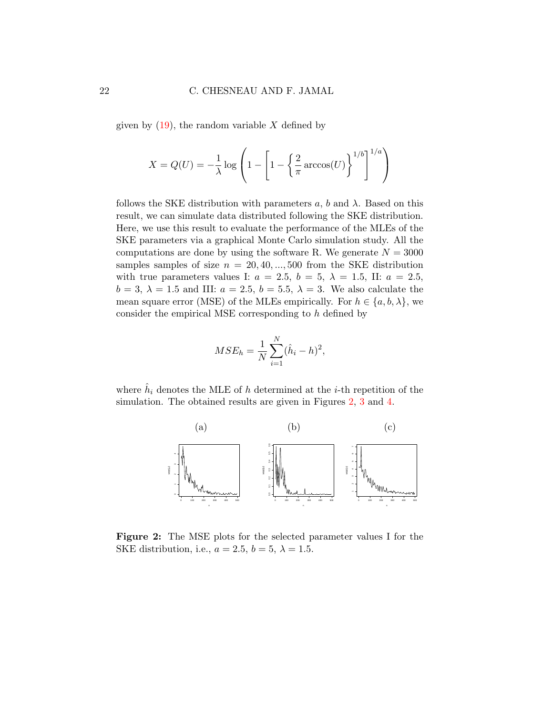given by  $(19)$ , the random variable X defined by

$$
X = Q(U) = -\frac{1}{\lambda} \log \left( 1 - \left[ 1 - \left\{ \frac{2}{\pi} \arccos(U) \right\}^{1/b} \right]^{1/a} \right)
$$

follows the SKE distribution with parameters  $a, b$  and  $\lambda$ . Based on this result, we can simulate data distributed following the SKE distribution. Here, we use this result to evaluate the performance of the MLEs of the SKE parameters via a graphical Monte Carlo simulation study. All the computations are done by using the software R. We generate  $N = 3000$ samples samples of size  $n = 20, 40, ..., 500$  from the SKE distribution with true parameters values I:  $a = 2.5$ ,  $b = 5$ ,  $\lambda = 1.5$ , II:  $a = 2.5$ ,  $b = 3, \lambda = 1.5$  and III:  $a = 2.5, b = 5.5, \lambda = 3$ . We also calculate the mean square error (MSE) of the MLEs empirically. For  $h \in \{a, b, \lambda\}$ , we consider the empirical MSE corresponding to h defined by

$$
MSE_h = \frac{1}{N} \sum_{i=1}^{N} (\hat{h}_i - h)^2,
$$

<span id="page-21-0"></span>where  $\hat{h}_i$  denotes the MLE of h determined at the *i*-th repetition of the simulation. The obtained results are given in Figures [2,](#page-21-0) [3](#page-22-0) and [4.](#page-22-1)



Figure 2: The MSE plots for the selected parameter values I for the SKE distribution, i.e.,  $a = 2.5$ ,  $b = 5$ ,  $\lambda = 1.5$ .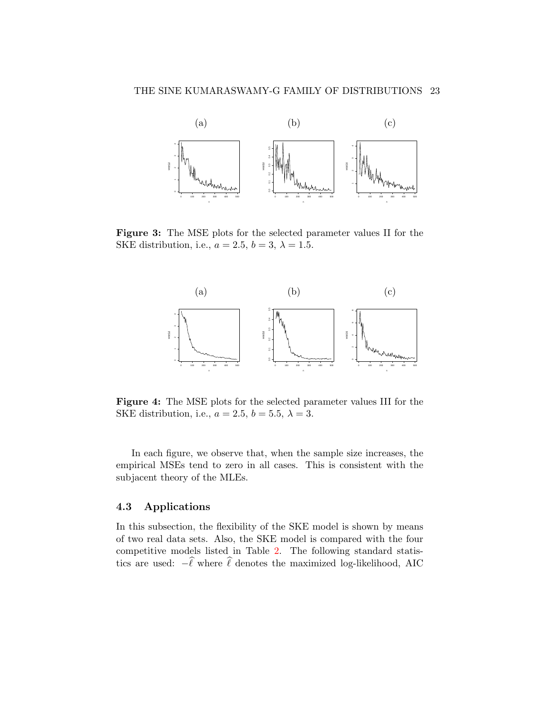<span id="page-22-0"></span>

Figure 3: The MSE plots for the selected parameter values II for the SKE distribution, i.e.,  $a = 2.5$ ,  $b = 3$ ,  $\lambda = 1.5$ .

<span id="page-22-1"></span>

Figure 4: The MSE plots for the selected parameter values III for the SKE distribution, i.e.,  $a = 2.5$ ,  $b = 5.5$ ,  $\lambda = 3$ .

In each figure, we observe that, when the sample size increases, the empirical MSEs tend to zero in all cases. This is consistent with the subjacent theory of the MLEs.

### 4.3 Applications

In this subsection, the flexibility of the SKE model is shown by means of two real data sets. Also, the SKE model is compared with the four competitive models listed in Table [2.](#page-23-0) The following standard statistics are used:  $-\hat{\ell}$  where  $\hat{\ell}$  denotes the maximized log-likelihood, AIC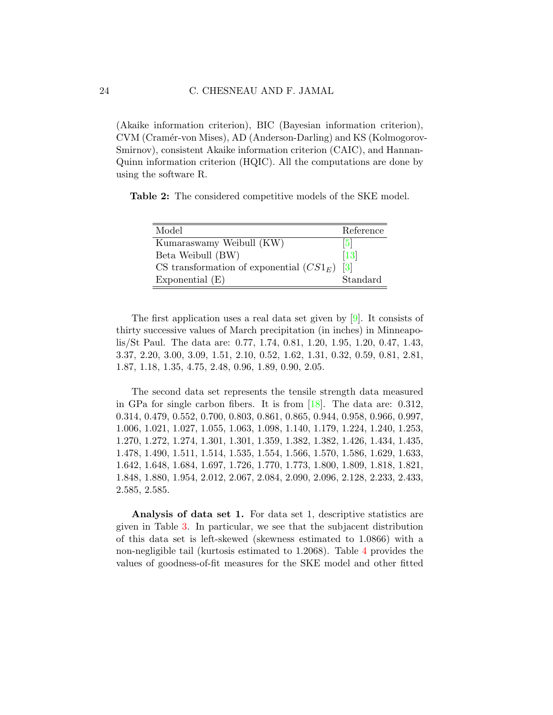(Akaike information criterion), BIC (Bayesian information criterion), CVM (Cramér-von Mises), AD (Anderson-Darling) and KS (Kolmogorov-Smirnov), consistent Akaike information criterion (CAIC), and Hannan-Quinn information criterion (HQIC). All the computations are done by using the software R.

<span id="page-23-0"></span>Table 2: The considered competitive models of the SKE model.

| Model                                     | Reference |
|-------------------------------------------|-----------|
| Kumaraswamy Weibull (KW)                  | 5         |
| Beta Weibull (BW)                         | $[13]$    |
| CS transformation of exponential $(CS1E)$ | 3         |
| Exponential $(E)$                         | Standard  |

The first application uses a real data set given by [\[9\]](#page-30-11). It consists of thirty successive values of March precipitation (in inches) in Minneapolis/St Paul. The data are: 0.77, 1.74, 0.81, 1.20, 1.95, 1.20, 0.47, 1.43, 3.37, 2.20, 3.00, 3.09, 1.51, 2.10, 0.52, 1.62, 1.31, 0.32, 0.59, 0.81, 2.81, 1.87, 1.18, 1.35, 4.75, 2.48, 0.96, 1.89, 0.90, 2.05.

The second data set represents the tensile strength data measured in GPa for single carbon fibers. It is from [\[18\]](#page-31-8). The data are: 0.312, 0.314, 0.479, 0.552, 0.700, 0.803, 0.861, 0.865, 0.944, 0.958, 0.966, 0.997, 1.006, 1.021, 1.027, 1.055, 1.063, 1.098, 1.140, 1.179, 1.224, 1.240, 1.253, 1.270, 1.272, 1.274, 1.301, 1.301, 1.359, 1.382, 1.382, 1.426, 1.434, 1.435, 1.478, 1.490, 1.511, 1.514, 1.535, 1.554, 1.566, 1.570, 1.586, 1.629, 1.633, 1.642, 1.648, 1.684, 1.697, 1.726, 1.770, 1.773, 1.800, 1.809, 1.818, 1.821, 1.848, 1.880, 1.954, 2.012, 2.067, 2.084, 2.090, 2.096, 2.128, 2.233, 2.433, 2.585, 2.585.

Analysis of data set 1. For data set 1, descriptive statistics are given in Table [3.](#page-24-0) In particular, we see that the subjacent distribution of this data set is left-skewed (skewness estimated to 1.0866) with a non-negligible tail (kurtosis estimated to 1.2068). Table [4](#page-24-1) provides the values of goodness-of-fit measures for the SKE model and other fitted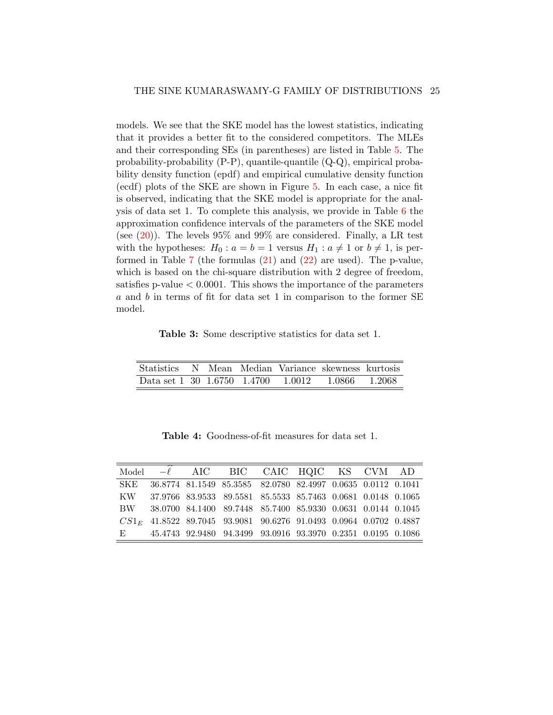models. We see that the SKE model has the lowest statistics, indicating that it provides a better fit to the considered competitors. The MLEs and their corresponding SEs (in parentheses) are listed in Table [5.](#page-25-0) The probability-probability (P-P), quantile-quantile (Q-Q), empirical probability density function (epdf) and empirical cumulative density function (ecdf) plots of the SKE are shown in Figure [5.](#page-25-1) In each case, a nice fit is observed, indicating that the SKE model is appropriate for the analysis of data set 1. To complete this analysis, we provide in Table [6](#page-26-0) the approximation confidence intervals of the parameters of the SKE model (see  $(20)$ ). The levels 95% and 99% are considered. Finally, a LR test with the hypotheses:  $H_0: a = b = 1$  versus  $H_1: a \neq 1$  or  $b \neq 1$ , is performed in Table  $7$  (the formulas  $(21)$  and  $(22)$  are used). The p-value, which is based on the chi-square distribution with 2 degree of freedom, satisfies p-value  $< 0.0001$ . This shows the importance of the parameters  $a$  and  $b$  in terms of fit for data set 1 in comparison to the former SE model.

<span id="page-24-0"></span>Table 3: Some descriptive statistics for data set 1.

| Statistics N Mean Median Variance skewness kurtosis |  |  |               |  |
|-----------------------------------------------------|--|--|---------------|--|
| Data set 1 30 1.6750 1.4700 1.0012                  |  |  | 1.0866 1.2068 |  |

Table 4: Goodness-of-fit measures for data set 1.

<span id="page-24-1"></span>

|  | Model $-\widehat{\ell}$ AIC BIC CAIC HQIC KS CVM AD                  |  |  |  |
|--|----------------------------------------------------------------------|--|--|--|
|  | SKE 36.8774 81.1549 85.3585 82.0780 82.4997 0.0635 0.0112 0.1041     |  |  |  |
|  | KW 37.9766 83.9533 89.5581 85.5533 85.7463 0.0681 0.0148 0.1065      |  |  |  |
|  | BW 38.0700 84.1400 89.7448 85.7400 85.9330 0.0631 0.0144 0.1045      |  |  |  |
|  | $CS1_E$ 41.8522 89.7045 93.9081 90.6276 91.0493 0.0964 0.0702 0.4887 |  |  |  |
|  | E 45.4743 92.9480 94.3499 93.0916 93.3970 0.2351 0.0195 0.1086       |  |  |  |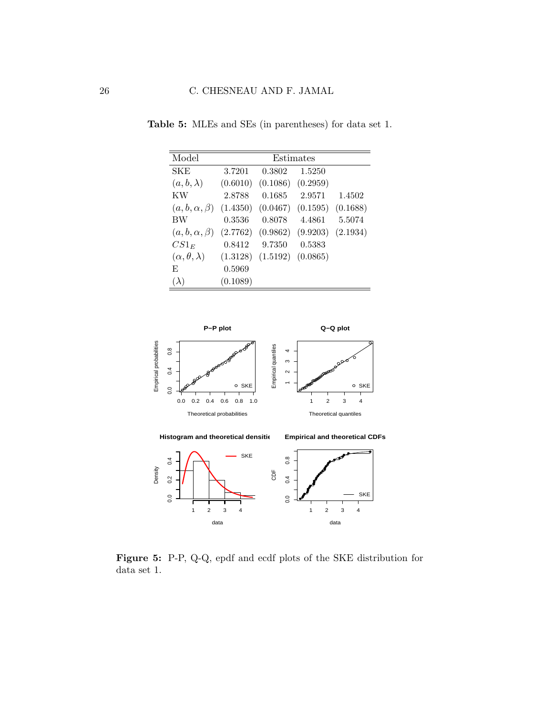| Model                       | Estimates |          |          |          |  |  |  |
|-----------------------------|-----------|----------|----------|----------|--|--|--|
| <b>SKE</b>                  | 3.7201    | 0.3802   | 1.5250   |          |  |  |  |
| $(a, b, \lambda)$           | (0.6010)  | (0.1086) | (0.2959) |          |  |  |  |
| KW                          | 2.8788    | 0.1685   | 2.9571   | 1.4502   |  |  |  |
| $(a, b, \alpha, \beta)$     | (1.4350)  | (0.0467) | (0.1595) | (0.1688) |  |  |  |
| BW                          | 0.3536    | 0.8078   | 4.4861   | 5.5074   |  |  |  |
| $(a, b, \alpha, \beta)$     | (2.7762)  | (0.9862) | (9.9203) | (2.1934) |  |  |  |
| $CS1_E$                     | 0.8412    | 9.7350   | 0.5383   |          |  |  |  |
| $(\alpha, \theta, \lambda)$ | (1.3128)  | (1.5192) | (0.0865) |          |  |  |  |
| F,                          | 0.5969    |          |          |          |  |  |  |
| $(\lambda)$                 | (0.1089)  |          |          |          |  |  |  |

<span id="page-25-0"></span>Table 5: MLEs and SEs (in parentheses) for data set 1.

<span id="page-25-1"></span>

Figure 5: P-P, Q-Q, epdf and ecdf plots of the SKE distribution for data set 1.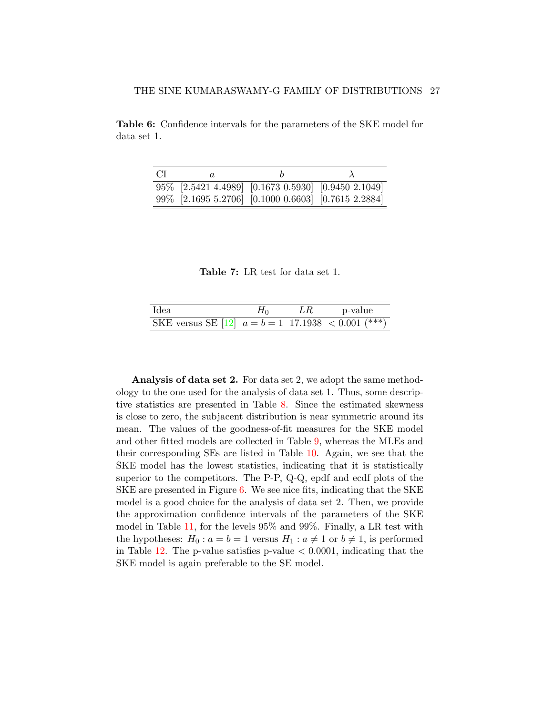<span id="page-26-0"></span>Table 6: Confidence intervals for the parameters of the SKE model for data set 1.

| -CI |                                                        |                                                      |
|-----|--------------------------------------------------------|------------------------------------------------------|
|     | $95\%$ [2.5421 4.4989] [0.1673 0.5930] [0.9450 2.1049] |                                                      |
|     |                                                        | 99\% [2.1695 5.2706] [0.1000 0.6603] [0.7615 2.2884] |

Table 7: LR test for data set 1.

<span id="page-26-1"></span>

| Idea                                                 | LR. | p-value |
|------------------------------------------------------|-----|---------|
| SKE versus SE [12] $a = b = 1$ 17.1938 < 0.001 (***) |     |         |

Analysis of data set 2. For data set 2, we adopt the same methodology to the one used for the analysis of data set 1. Thus, some descriptive statistics are presented in Table [8.](#page-27-0) Since the estimated skewness is close to zero, the subjacent distribution is near symmetric around its mean. The values of the goodness-of-fit measures for the SKE model and other fitted models are collected in Table [9,](#page-27-1) whereas the MLEs and their corresponding SEs are listed in Table [10.](#page-28-1) Again, we see that the SKE model has the lowest statistics, indicating that it is statistically superior to the competitors. The P-P, Q-Q, epdf and ecdf plots of the SKE are presented in Figure [6.](#page-27-2) We see nice fits, indicating that the SKE model is a good choice for the analysis of data set 2. Then, we provide the approximation confidence intervals of the parameters of the SKE model in Table [11,](#page-28-2) for the levels 95% and 99%. Finally, a LR test with the hypotheses:  $H_0: a = b = 1$  versus  $H_1: a \neq 1$  or  $b \neq 1$ , is performed in Table [12.](#page-29-3) The p-value satisfies p-value  $\lt$  0.0001, indicating that the SKE model is again preferable to the SE model.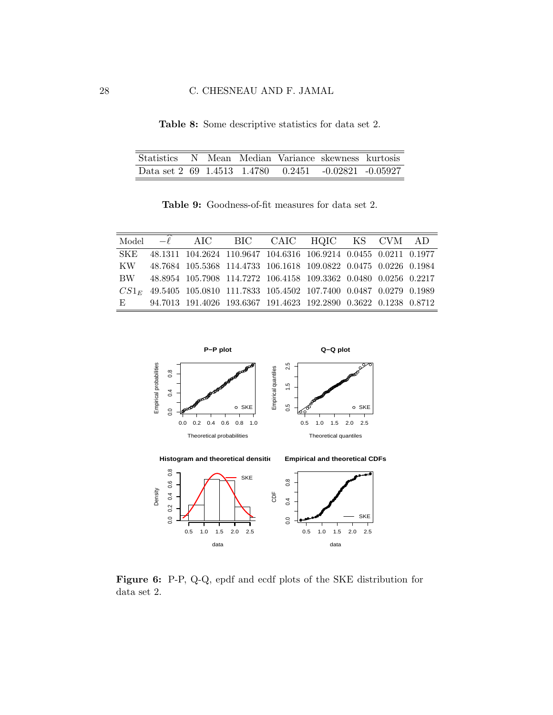### <span id="page-27-0"></span>28 C. CHESNEAU AND F. JAMAL

Table 8: Some descriptive statistics for data set 2.

| Statistics N Mean Median Variance skewness kurtosis  |  |  |  |
|------------------------------------------------------|--|--|--|
| Data set 2 69 1.4513 1.4780 0.2451 -0.02821 -0.05927 |  |  |  |

Table 9: Goodness-of-fit measures for data set 2.

<span id="page-27-1"></span>

|             | Model $-\hat{\ell}$ AIC BIC CAIC HQIC KS CVM AD                          |  |  |  |
|-------------|--------------------------------------------------------------------------|--|--|--|
|             | SKE 48.1311 104.2624 110.9647 104.6316 106.9214 0.0455 0.0211 0.1977     |  |  |  |
|             | KW 48.7684 105.5368 114.4733 106.1618 109.0822 0.0475 0.0226 0.1984      |  |  |  |
|             | BW 48.8954 105.7908 114.7272 106.4158 109.3362 0.0480 0.0256 0.2217      |  |  |  |
|             | $CS1_E$ 49.5405 105.0810 111.7833 105.4502 107.7400 0.0487 0.0279 0.1989 |  |  |  |
| $E_{\perp}$ | 94.7013 191.4026 193.6367 191.4623 192.2890 0.3622 0.1238 0.8712         |  |  |  |

<span id="page-27-2"></span>

Figure 6: P-P, Q-Q, epdf and ecdf plots of the SKE distribution for data set 2.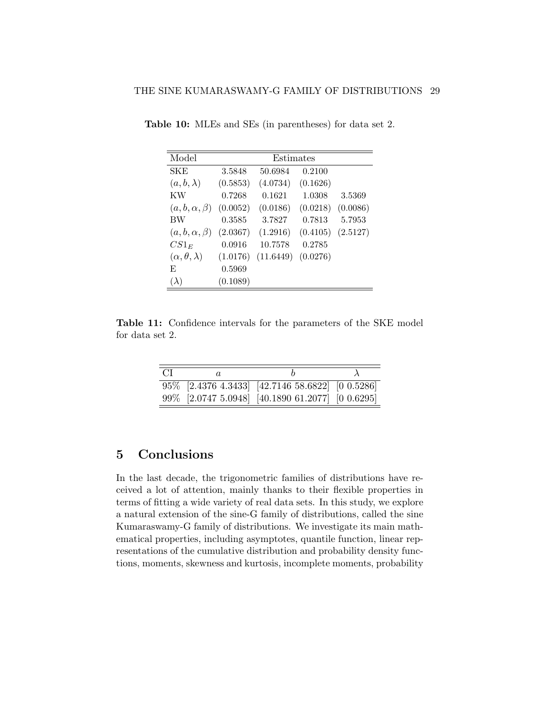| Model                       | Estimates |           |          |          |  |  |  |
|-----------------------------|-----------|-----------|----------|----------|--|--|--|
| SKE                         | 3.5848    | 50.6984   | 0.2100   |          |  |  |  |
| $(a, b, \lambda)$           | (0.5853)  | (4.0734)  | (0.1626) |          |  |  |  |
| KW                          | 0.7268    | 0.1621    | 1.0308   | 3.5369   |  |  |  |
| $(a, b, \alpha, \beta)$     | (0.0052)  | (0.0186)  | (0.0218) | (0.0086) |  |  |  |
| <b>BW</b>                   | 0.3585    | 3.7827    | 0.7813   | 5.7953   |  |  |  |
| $(a, b, \alpha, \beta)$     | (2.0367)  | (1.2916)  | (0.4105) | (2.5127) |  |  |  |
| $CS1_E$                     | 0.0916    | 10.7578   | 0.2785   |          |  |  |  |
| $(\alpha, \theta, \lambda)$ | (1.0176)  | (11.6449) | (0.0276) |          |  |  |  |
| F,                          | 0.5969    |           |          |          |  |  |  |
| $(\lambda)$                 | (0.1089)  |           |          |          |  |  |  |

<span id="page-28-1"></span>Table 10: MLEs and SEs (in parentheses) for data set 2.

<span id="page-28-2"></span>Table 11: Confidence intervals for the parameters of the SKE model for data set 2.

| -CI |                                                   |  |
|-----|---------------------------------------------------|--|
|     | 95\% [2.4376 4.3433] [42.7146 58.6822] [0 0.5286] |  |
|     | 99% [2.0747 5.0948] [40.1890 61.2077] [0 0.6295]  |  |

# <span id="page-28-0"></span>5 Conclusions

In the last decade, the trigonometric families of distributions have received a lot of attention, mainly thanks to their flexible properties in terms of fitting a wide variety of real data sets. In this study, we explore a natural extension of the sine-G family of distributions, called the sine Kumaraswamy-G family of distributions. We investigate its main mathematical properties, including asymptotes, quantile function, linear representations of the cumulative distribution and probability density functions, moments, skewness and kurtosis, incomplete moments, probability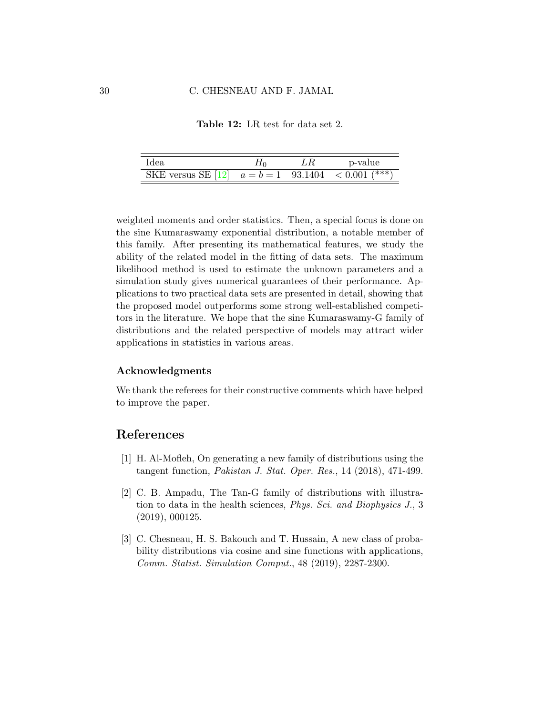Table 12: LR test for data set 2.

<span id="page-29-3"></span>

| Idea                                                 |  | p-value |
|------------------------------------------------------|--|---------|
| SKE versus SE [12] $a = b = 1$ 93.1404 < 0.001 (***) |  |         |

weighted moments and order statistics. Then, a special focus is done on the sine Kumaraswamy exponential distribution, a notable member of this family. After presenting its mathematical features, we study the ability of the related model in the fitting of data sets. The maximum likelihood method is used to estimate the unknown parameters and a simulation study gives numerical guarantees of their performance. Applications to two practical data sets are presented in detail, showing that the proposed model outperforms some strong well-established competitors in the literature. We hope that the sine Kumaraswamy-G family of distributions and the related perspective of models may attract wider applications in statistics in various areas.

#### Acknowledgments

We thank the referees for their constructive comments which have helped to improve the paper.

## References

- <span id="page-29-1"></span>[1] H. Al-Mofleh, On generating a new family of distributions using the tangent function, Pakistan J. Stat. Oper. Res., 14 (2018), 471-499.
- <span id="page-29-0"></span>[2] C. B. Ampadu, The Tan-G family of distributions with illustration to data in the health sciences, Phys. Sci. and Biophysics J., 3 (2019), 000125.
- <span id="page-29-2"></span>[3] C. Chesneau, H. S. Bakouch and T. Hussain, A new class of probability distributions via cosine and sine functions with applications, Comm. Statist. Simulation Comput., 48 (2019), 2287-2300.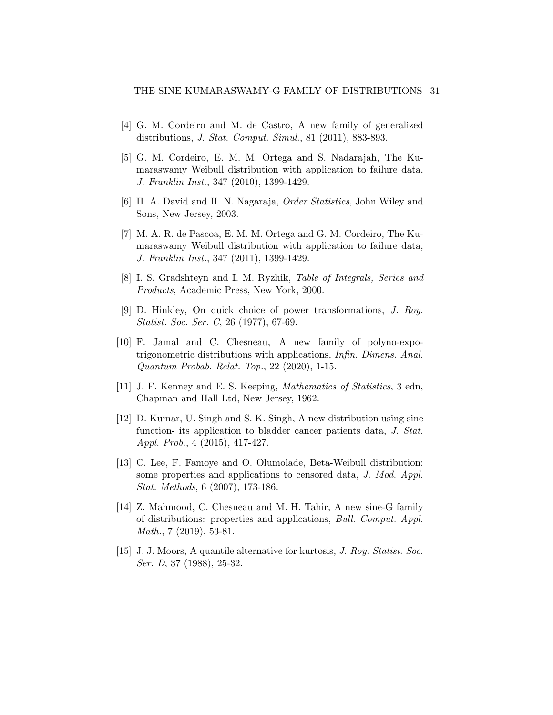- <span id="page-30-3"></span>[4] G. M. Cordeiro and M. de Castro, A new family of generalized distributions, J. Stat. Comput. Simul., 81 (2011), 883-893.
- <span id="page-30-9"></span>[5] G. M. Cordeiro, E. M. M. Ortega and S. Nadarajah, The Kumaraswamy Weibull distribution with application to failure data, J. Franklin Inst., 347 (2010), 1399-1429.
- <span id="page-30-8"></span>[6] H. A. David and H. N. Nagaraja, Order Statistics, John Wiley and Sons, New Jersey, 2003.
- <span id="page-30-4"></span>[7] M. A. R. de Pascoa, E. M. M. Ortega and G. M. Cordeiro, The Kumaraswamy Weibull distribution with application to failure data, J. Franklin Inst., 347 (2011), 1399-1429.
- <span id="page-30-7"></span>[8] I. S. Gradshteyn and I. M. Ryzhik, Table of Integrals, Series and Products, Academic Press, New York, 2000.
- <span id="page-30-11"></span>[9] D. Hinkley, On quick choice of power transformations, J. Roy. Statist. Soc. Ser. C, 26 (1977), 67-69.
- <span id="page-30-2"></span>[10] F. Jamal and C. Chesneau, A new family of polyno-expotrigonometric distributions with applications, Infin. Dimens. Anal. Quantum Probab. Relat. Top., 22 (2020), 1-15.
- <span id="page-30-5"></span>[11] J. F. Kenney and E. S. Keeping, Mathematics of Statistics, 3 edn, Chapman and Hall Ltd, New Jersey, 1962.
- <span id="page-30-0"></span>[12] D. Kumar, U. Singh and S. K. Singh, A new distribution using sine function- its application to bladder cancer patients data, J. Stat. Appl. Prob., 4 (2015), 417-427.
- <span id="page-30-10"></span>[13] C. Lee, F. Famoye and O. Olumolade, Beta-Weibull distribution: some properties and applications to censored data, J. Mod. Appl. Stat. Methods, 6 (2007), 173-186.
- <span id="page-30-1"></span>[14] Z. Mahmood, C. Chesneau and M. H. Tahir, A new sine-G family of distributions: properties and applications, Bull. Comput. Appl. Math., 7 (2019), 53-81.
- <span id="page-30-6"></span>[15] J. J. Moors, A quantile alternative for kurtosis, J. Roy. Statist. Soc. Ser. D, 37 (1988), 25-32.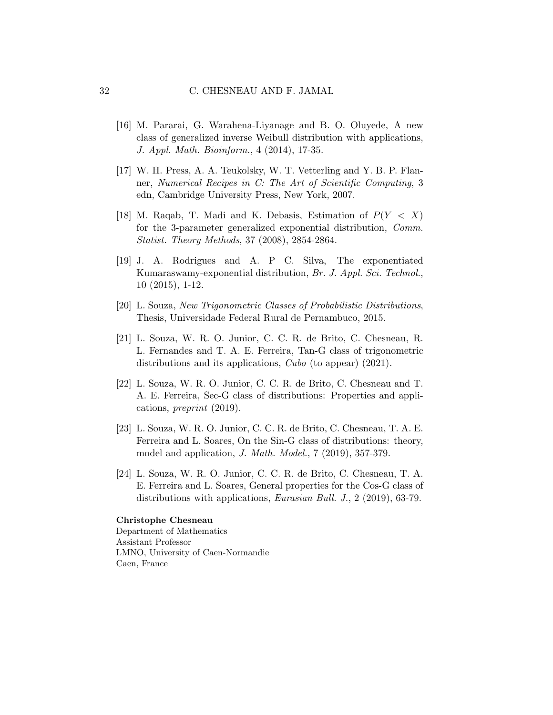- <span id="page-31-5"></span>[16] M. Pararai, G. Warahena-Liyanage and B. O. Oluyede, A new class of generalized inverse Weibull distribution with applications, J. Appl. Math. Bioinform., 4 (2014), 17-35.
- <span id="page-31-7"></span>[17] W. H. Press, A. A. Teukolsky, W. T. Vetterling and Y. B. P. Flanner, Numerical Recipes in C: The Art of Scientific Computing, 3 edn, Cambridge University Press, New York, 2007.
- <span id="page-31-8"></span>[18] M. Raqab, T. Madi and K. Debasis, Estimation of  $P(Y < X)$ for the 3-parameter generalized exponential distribution, Comm. Statist. Theory Methods, 37 (2008), 2854-2864.
- <span id="page-31-6"></span>[19] J. A. Rodrigues and A. P C. Silva, The exponentiated Kumaraswamy-exponential distribution, Br. J. Appl. Sci. Technol., 10 (2015), 1-12.
- <span id="page-31-0"></span>[20] L. Souza, New Trigonometric Classes of Probabilistic Distributions, Thesis, Universidade Federal Rural de Pernambuco, 2015.
- <span id="page-31-3"></span>[21] L. Souza, W. R. O. Junior, C. C. R. de Brito, C. Chesneau, R. L. Fernandes and T. A. E. Ferreira, Tan-G class of trigonometric distributions and its applications, *Cubo* (to appear) (2021).
- <span id="page-31-4"></span>[22] L. Souza, W. R. O. Junior, C. C. R. de Brito, C. Chesneau and T. A. E. Ferreira, Sec-G class of distributions: Properties and applications, preprint (2019).
- <span id="page-31-1"></span>[23] L. Souza, W. R. O. Junior, C. C. R. de Brito, C. Chesneau, T. A. E. Ferreira and L. Soares, On the Sin-G class of distributions: theory, model and application, J. Math. Model., 7 (2019), 357-379.
- <span id="page-31-2"></span>[24] L. Souza, W. R. O. Junior, C. C. R. de Brito, C. Chesneau, T. A. E. Ferreira and L. Soares, General properties for the Cos-G class of distributions with applications, *Eurasian Bull. J.*, 2 (2019), 63-79.

#### Christophe Chesneau

Department of Mathematics Assistant Professor LMNO, University of Caen-Normandie Caen, France